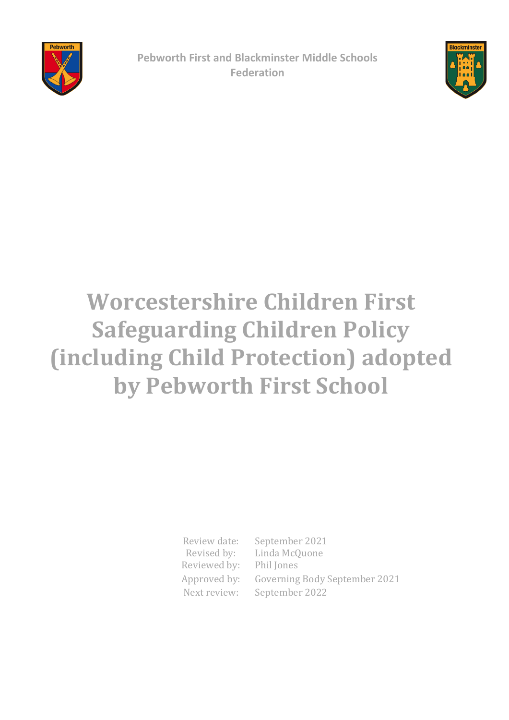

**Pebworth First and Blackminster Middle Schools Federation**



# **Worcestershire Children First Safeguarding Children Policy (including Child Protection) adopted by Pebworth First School**

Review date: Revised by: Reviewed by: Phil Jones

September 2021 Linda McQuone Approved by: Governing Body September 2021 Next review: September 2022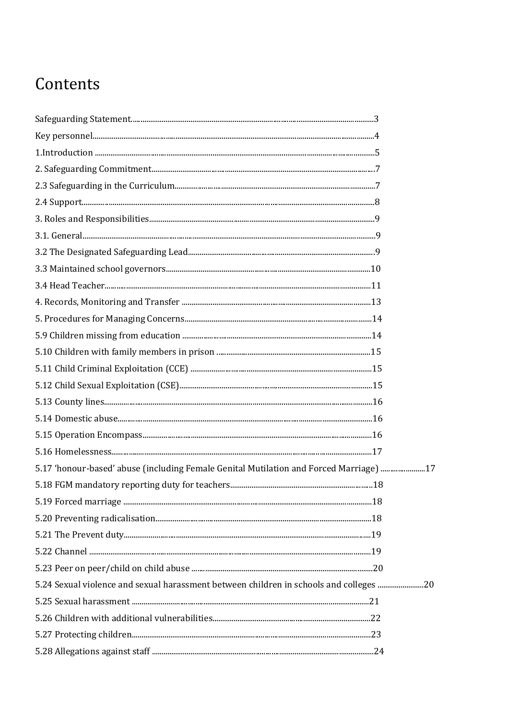# Contents

| 5.17 'honour-based' abuse (including Female Genital Mutilation and Forced Marriage) 17 |  |
|----------------------------------------------------------------------------------------|--|
|                                                                                        |  |
|                                                                                        |  |
|                                                                                        |  |
|                                                                                        |  |
|                                                                                        |  |
|                                                                                        |  |
| 5.24 Sexual violence and sexual harassment between children in schools and colleges 20 |  |
|                                                                                        |  |
|                                                                                        |  |
|                                                                                        |  |
|                                                                                        |  |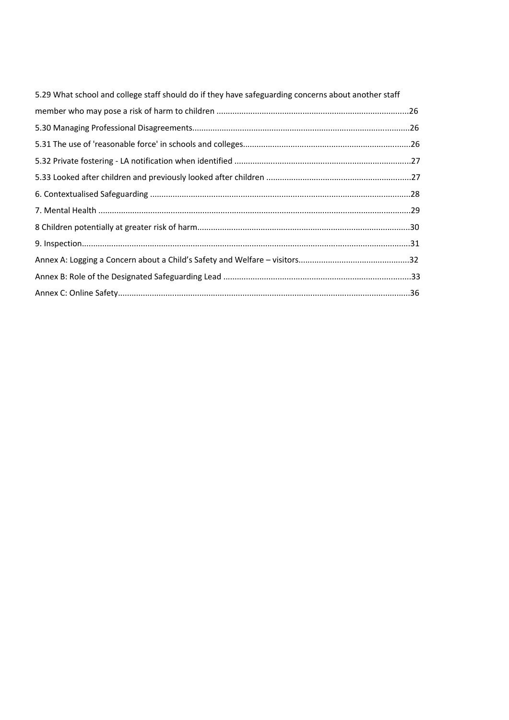| 5.29 What school and college staff should do if they have safeguarding concerns about another staff |  |
|-----------------------------------------------------------------------------------------------------|--|
|                                                                                                     |  |
|                                                                                                     |  |
|                                                                                                     |  |
|                                                                                                     |  |
|                                                                                                     |  |
|                                                                                                     |  |
|                                                                                                     |  |
|                                                                                                     |  |
|                                                                                                     |  |
|                                                                                                     |  |
|                                                                                                     |  |
|                                                                                                     |  |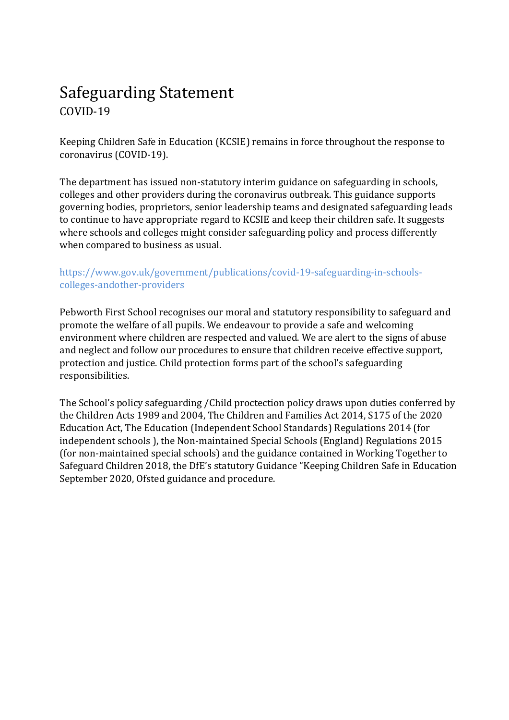# Safeguarding Statement COVID-19

Keeping Children Safe in Education (KCSIE) remains in force throughout the response to coronavirus (COVID-19).

The department has issued non-statutory interim guidance on safeguarding in schools, colleges and other providers during the coronavirus outbreak. This guidance supports governing bodies, proprietors, senior leadership teams and designated safeguarding leads to continue to have appropriate regard to KCSIE and keep their children safe. It suggests where schools and colleges might consider safeguarding policy and process differently when compared to business as usual.

### https://www.gov.uk/government/publications/covid-19-safeguarding-in-schoolscolleges-andother-providers

Pebworth First School recognises our moral and statutory responsibility to safeguard and promote the welfare of all pupils. We endeavour to provide a safe and welcoming environment where children are respected and valued. We are alert to the signs of abuse and neglect and follow our procedures to ensure that children receive effective support, protection and justice. Child protection forms part of the school's safeguarding responsibilities.

The School's policy safeguarding /Child proctection policy draws upon duties conferred by the Children Acts 1989 and 2004, The Children and Families Act 2014, S175 of the 2020 Education Act, The Education (Independent School Standards) Regulations 2014 (for independent schools ), the Non-maintained Special Schools (England) Regulations 2015 (for non-maintained special schools) and the guidance contained in Working Together to Safeguard Children 2018, the DfE's statutory Guidance "Keeping Children Safe in Education September 2020, Ofsted guidance and procedure.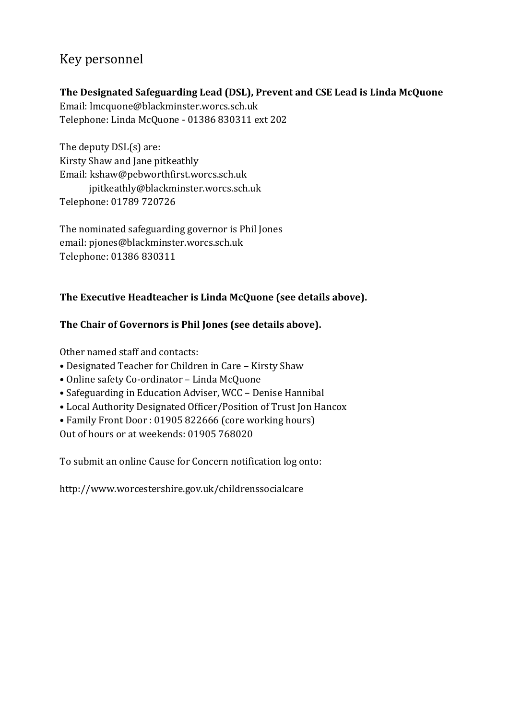# Key personnel

## **The Designated Safeguarding Lead (DSL), Prevent and CSE Lead is Linda McQuone**

Email: lmcquone@blackminster.worcs.sch.uk Telephone: Linda McQuone - 01386 830311 ext 202

The deputy DSL(s) are: Kirsty Shaw and Jane pitkeathly Email: kshaw@pebworthfirst.worcs.sch.uk jpitkeathly@blackminster.worcs.sch.uk Telephone: 01789 720726

The nominated safeguarding governor is Phil Jones email: pjones@blackminster.worcs.sch.uk Telephone: 01386 830311

### **The Executive Headteacher is Linda McQuone (see details above).**

### **The Chair of Governors is Phil Jones (see details above).**

Other named staff and contacts:

- Designated Teacher for Children in Care Kirsty Shaw
- Online safety Co-ordinator Linda McQuone
- Safeguarding in Education Adviser, WCC Denise Hannibal
- Local Authority Designated Officer/Position of Trust Jon Hancox
- Family Front Door : 01905 822666 (core working hours)

Out of hours or at weekends: 01905 768020

To submit an online Cause for Concern notification log onto:

http://www.worcestershire.gov.uk/childrenssocialcare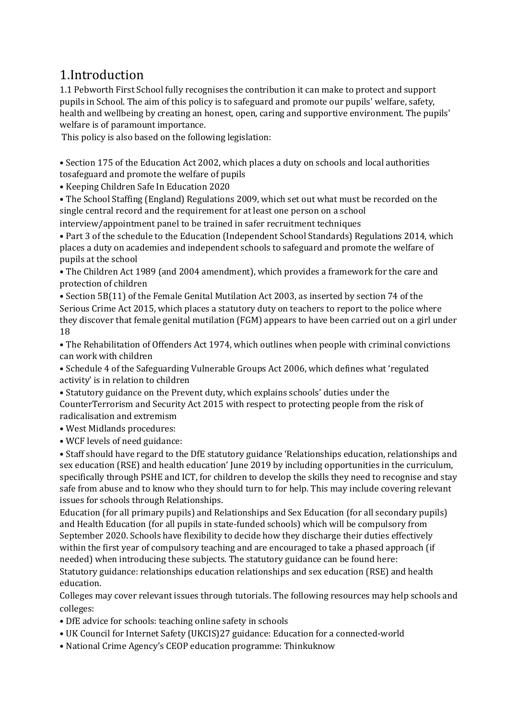# 1.Introduction

1.1 Pebworth First School fully recognises the contribution it can make to protect and support pupils in School. The aim of this policy is to safeguard and promote our pupils' welfare, safety, health and wellbeing by creating an honest, open, caring and supportive environment. The pupils' welfare is of paramount importance.

This policy is also based on the following legislation:

• Section 175 of the Education Act 2002, which places a duty on schools and local authorities tosafeguard and promote the welfare of pupils

• Keeping Children Safe In Education 2020

• The School Staffing (England) Regulations 2009, which set out what must be recorded on the single central record and the requirement for at least one person on a school

interview/appointment panel to be trained in safer recruitment techniques

• Part 3 of the schedule to the Education (Independent School Standards) Regulations 2014, which places a duty on academies and independent schools to safeguard and promote the welfare of pupils at the school

• The Children Act 1989 (and 2004 amendment), which provides a framework for the care and protection of children

• Section 5B(11) of the Female Genital Mutilation Act 2003, as inserted by section 74 of the Serious Crime Act 2015, which places a statutory duty on teachers to report to the police where they discover that female genital mutilation (FGM) appears to have been carried out on a girl under 18

• The Rehabilitation of Offenders Act 1974, which outlines when people with criminal convictions can work with children

• Schedule 4 of the Safeguarding Vulnerable Groups Act 2006, which defines what 'regulated activity' is in relation to children

• Statutory guidance on the Prevent duty, which explains schools' duties under the CounterTerrorism and Security Act 2015 with respect to protecting people from the risk of radicalisation and extremism

• West Midlands procedures:

• WCF levels of need guidance:

• Staff should have regard to the DfE statutory guidance 'Relationships education, relationships and sex education (RSE) and health education' June 2019 by including opportunities in the curriculum, specifically through PSHE and ICT, for children to develop the skills they need to recognise and stay safe from abuse and to know who they should turn to for help. This may include covering relevant issues for schools through Relationships.

Education (for all primary pupils) and Relationships and Sex Education (for all secondary pupils) and Health Education (for all pupils in state-funded schools) which will be compulsory from September 2020. Schools have flexibility to decide how they discharge their duties effectively within the first year of compulsory teaching and are encouraged to take a phased approach (if needed) when introducing these subjects. The statutory guidance can be found here:

Statutory guidance: relationships education relationships and sex education (RSE) and health education.

Colleges may cover relevant issues through tutorials. The following resources may help schools and colleges:

- DfE advice for schools: teaching online safety in schools
- UK Council for Internet Safety (UKCIS)27 guidance: Education for a connected-world
- National Crime Agency's CEOP education programme: Thinkuknow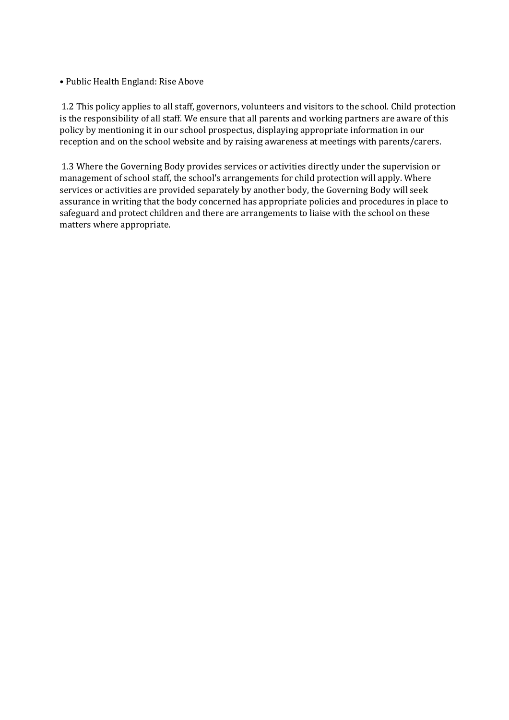• Public Health England: Rise Above

1.2 This policy applies to all staff, governors, volunteers and visitors to the school. Child protection is the responsibility of all staff. We ensure that all parents and working partners are aware of this policy by mentioning it in our school prospectus, displaying appropriate information in our reception and on the school website and by raising awareness at meetings with parents/carers.

1.3 Where the Governing Body provides services or activities directly under the supervision or management of school staff, the school's arrangements for child protection will apply. Where services or activities are provided separately by another body, the Governing Body will seek assurance in writing that the body concerned has appropriate policies and procedures in place to safeguard and protect children and there are arrangements to liaise with the school on these matters where appropriate.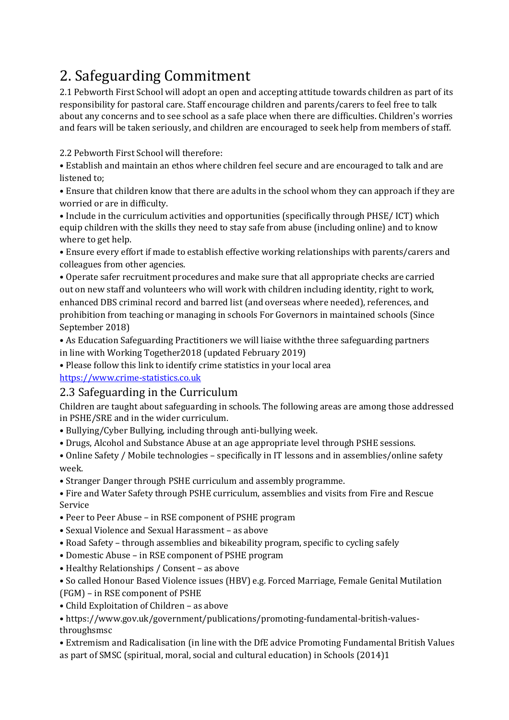# 2. Safeguarding Commitment

2.1 Pebworth First School will adopt an open and accepting attitude towards children as part of its responsibility for pastoral care. Staff encourage children and parents/carers to feel free to talk about any concerns and to see school as a safe place when there are difficulties. Children's worries and fears will be taken seriously, and children are encouraged to seek help from members of staff.

2.2 Pebworth First School will therefore:

• Establish and maintain an ethos where children feel secure and are encouraged to talk and are listened to;

• Ensure that children know that there are adults in the school whom they can approach if they are worried or are in difficulty.

• Include in the curriculum activities and opportunities (specifically through PHSE/ ICT) which equip children with the skills they need to stay safe from abuse (including online) and to know where to get help.

• Ensure every effort if made to establish effective working relationships with parents/carers and colleagues from other agencies.

• Operate safer recruitment procedures and make sure that all appropriate checks are carried out on new staff and volunteers who will work with children including identity, right to work, enhanced DBS criminal record and barred list (and overseas where needed), references, and prohibition from teaching or managing in schools For Governors in maintained schools (Since September 2018)

• As Education Safeguarding Practitioners we will liaise withthe three safeguarding partners in line with Working Together2018 (updated February 2019)

• Please follow this link to identify crime statistics in your local area [https://www.crime-statistics.co.uk](https://www.crime-statistics.co.uk/)

# 2.3 Safeguarding in the Curriculum

Children are taught about safeguarding in schools. The following areas are among those addressed in PSHE/SRE and in the wider curriculum.

- Bullying/Cyber Bullying, including through anti-bullying week.
- Drugs, Alcohol and Substance Abuse at an age appropriate level through PSHE sessions.

• Online Safety / Mobile technologies – specifically in IT lessons and in assemblies/online safety week.

• Stranger Danger through PSHE curriculum and assembly programme.

• Fire and Water Safety through PSHE curriculum, assemblies and visits from Fire and Rescue Service

- Peer to Peer Abuse in RSE component of PSHE program
- Sexual Violence and Sexual Harassment as above
- Road Safety through assemblies and bikeability program, specific to cycling safely
- Domestic Abuse in RSE component of PSHE program
- Healthy Relationships / Consent as above

• So called Honour Based Violence issues (HBV) e.g. Forced Marriage, Female Genital Mutilation (FGM) – in RSE component of PSHE

• Child Exploitation of Children – as above

• https://www.gov.uk/government/publications/promoting-fundamental-british-valuesthroughsmsc

• Extremism and Radicalisation (in line with the DfE advice Promoting Fundamental British Values as part of SMSC (spiritual, moral, social and cultural education) in Schools (2014)1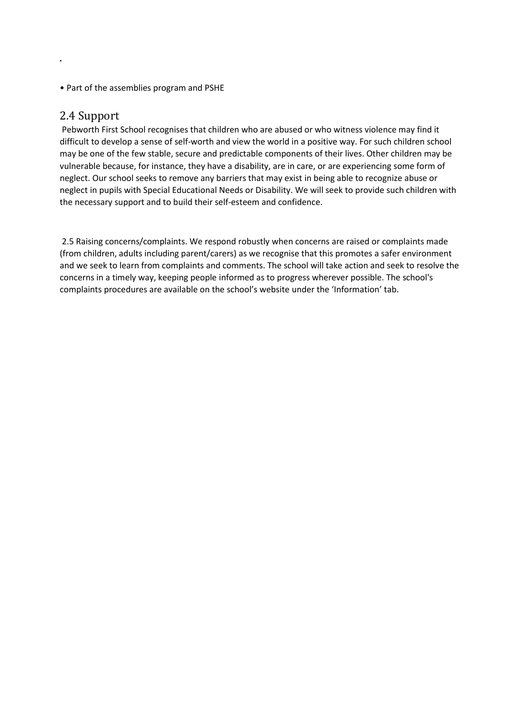• Part of the assemblies program and PSHE

### 2.4 Support

.

Pebworth First School recognises that children who are abused or who witness violence may find it difficult to develop a sense of self-worth and view the world in a positive way. For such children school may be one of the few stable, secure and predictable components of their lives. Other children may be vulnerable because, for instance, they have a disability, are in care, or are experiencing some form of neglect. Our school seeks to remove any barriers that may exist in being able to recognize abuse or neglect in pupils with Special Educational Needs or Disability. We will seek to provide such children with the necessary support and to build their self-esteem and confidence.

2.5 Raising concerns/complaints. We respond robustly when concerns are raised or complaints made (from children, adults including parent/carers) as we recognise that this promotes a safer environment and we seek to learn from complaints and comments. The school will take action and seek to resolve the concerns in a timely way, keeping people informed as to progress wherever possible. The school's complaints procedures are available on the school's website under the 'Information' tab.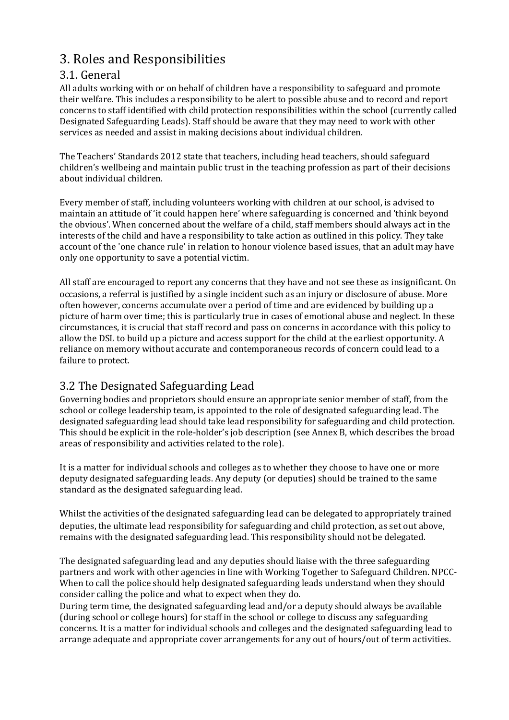# 3. Roles and Responsibilities

# 3.1. General

All adults working with or on behalf of children have a responsibility to safeguard and promote their welfare. This includes a responsibility to be alert to possible abuse and to record and report concerns to staff identified with child protection responsibilities within the school (currently called Designated Safeguarding Leads). Staff should be aware that they may need to work with other services as needed and assist in making decisions about individual children.

The Teachers' Standards 2012 state that teachers, including head teachers, should safeguard children's wellbeing and maintain public trust in the teaching profession as part of their decisions about individual children.

Every member of staff, including volunteers working with children at our school, is advised to maintain an attitude of 'it could happen here' where safeguarding is concerned and 'think beyond the obvious'. When concerned about the welfare of a child, staff members should always act in the interests of the child and have a responsibility to take action as outlined in this policy. They take account of the 'one chance rule' in relation to honour violence based issues, that an adult may have only one opportunity to save a potential victim.

All staff are encouraged to report any concerns that they have and not see these as insignificant. On occasions, a referral is justified by a single incident such as an injury or disclosure of abuse. More often however, concerns accumulate over a period of time and are evidenced by building up a picture of harm over time; this is particularly true in cases of emotional abuse and neglect. In these circumstances, it is crucial that staff record and pass on concerns in accordance with this policy to allow the DSL to build up a picture and access support for the child at the earliest opportunity. A reliance on memory without accurate and contemporaneous records of concern could lead to a failure to protect.

# 3.2 The Designated Safeguarding Lead

Governing bodies and proprietors should ensure an appropriate senior member of staff, from the school or college leadership team, is appointed to the role of designated safeguarding lead. The designated safeguarding lead should take lead responsibility for safeguarding and child protection. This should be explicit in the role-holder's job description (see Annex B, which describes the broad areas of responsibility and activities related to the role).

It is a matter for individual schools and colleges as to whether they choose to have one or more deputy designated safeguarding leads. Any deputy (or deputies) should be trained to the same standard as the designated safeguarding lead.

Whilst the activities of the designated safeguarding lead can be delegated to appropriately trained deputies, the ultimate lead responsibility for safeguarding and child protection, as set out above, remains with the designated safeguarding lead. This responsibility should not be delegated.

The designated safeguarding lead and any deputies should liaise with the three safeguarding partners and work with other agencies in line with Working Together to Safeguard Children. NPCC-When to call the police should help designated safeguarding leads understand when they should consider calling the police and what to expect when they do.

During term time, the designated safeguarding lead and/or a deputy should always be available (during school or college hours) for staff in the school or college to discuss any safeguarding concerns. It is a matter for individual schools and colleges and the designated safeguarding lead to arrange adequate and appropriate cover arrangements for any out of hours/out of term activities.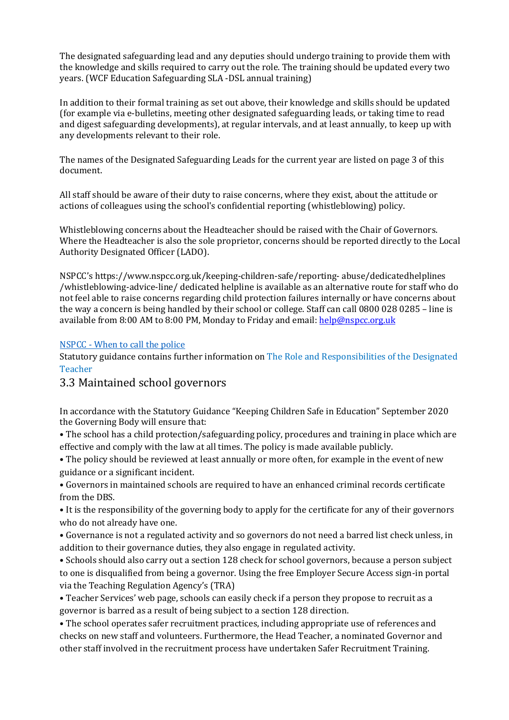The designated safeguarding lead and any deputies should undergo training to provide them with the knowledge and skills required to carry out the role. The training should be updated every two years. (WCF Education Safeguarding SLA -DSL annual training)

In addition to their formal training as set out above, their knowledge and skills should be updated (for example via e-bulletins, meeting other designated safeguarding leads, or taking time to read and digest safeguarding developments), at regular intervals, and at least annually, to keep up with any developments relevant to their role.

The names of the Designated Safeguarding Leads for the current year are listed on page 3 of this document.

All staff should be aware of their duty to raise concerns, where they exist, about the attitude or actions of colleagues using the school's confidential reporting (whistleblowing) policy.

Whistleblowing concerns about the Headteacher should be raised with the Chair of Governors. Where the Headteacher is also the sole proprietor, concerns should be reported directly to the Local Authority Designated Officer (LADO).

NSPCC's https://www.nspcc.org.uk/keeping-children-safe/reporting- abuse/dedicatedhelplines /whistleblowing-advice-line/ dedicated helpline is available as an alternative route for staff who do not feel able to raise concerns regarding child protection failures internally or have concerns about the way a concern is being handled by their school or college. Staff can call 0800 028 0285 – line is available from 8:00 AM to 8:00 PM, Monday to Friday and email[: help@nspcc.org.uk](mailto:help@nspcc.org.uk)

#### NSPCC - When to call the police

Statutory guidance contains further information on The Role and Responsibilities of the Designated Teacher

### 3.3 Maintained school governors

In accordance with the Statutory Guidance "Keeping Children Safe in Education" September 2020 the Governing Body will ensure that:

• The school has a child protection/safeguarding policy, procedures and training in place which are effective and comply with the law at all times. The policy is made available publicly.

• The policy should be reviewed at least annually or more often, for example in the event of new guidance or a significant incident.

• Governors in maintained schools are required to have an enhanced criminal records certificate from the DBS.

• It is the responsibility of the governing body to apply for the certificate for any of their governors who do not already have one.

• Governance is not a regulated activity and so governors do not need a barred list check unless, in addition to their governance duties, they also engage in regulated activity.

• Schools should also carry out a section 128 check for school governors, because a person subject to one is disqualified from being a governor. Using the free Employer Secure Access sign-in portal via the Teaching Regulation Agency's (TRA)

• Teacher Services' web page, schools can easily check if a person they propose to recruit as a governor is barred as a result of being subject to a section 128 direction.

• The school operates safer recruitment practices, including appropriate use of references and checks on new staff and volunteers. Furthermore, the Head Teacher, a nominated Governor and other staff involved in the recruitment process have undertaken Safer Recruitment Training.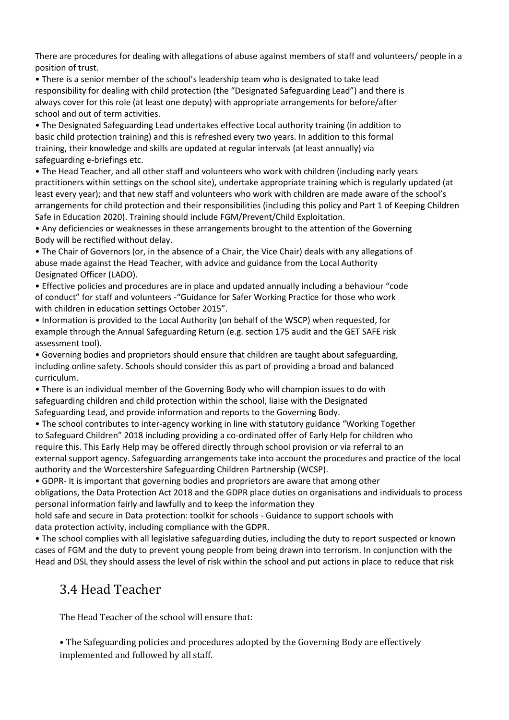There are procedures for dealing with allegations of abuse against members of staff and volunteers/ people in a position of trust.

• There is a senior member of the school's leadership team who is designated to take lead responsibility for dealing with child protection (the "Designated Safeguarding Lead") and there is always cover for this role (at least one deputy) with appropriate arrangements for before/after school and out of term activities.

• The Designated Safeguarding Lead undertakes effective Local authority training (in addition to basic child protection training) and this is refreshed every two years. In addition to this formal training, their knowledge and skills are updated at regular intervals (at least annually) via safeguarding e-briefings etc.

• The Head Teacher, and all other staff and volunteers who work with children (including early years practitioners within settings on the school site), undertake appropriate training which is regularly updated (at least every year); and that new staff and volunteers who work with children are made aware of the school's arrangements for child protection and their responsibilities (including this policy and Part 1 of Keeping Children Safe in Education 2020). Training should include FGM/Prevent/Child Exploitation.

• Any deficiencies or weaknesses in these arrangements brought to the attention of the Governing Body will be rectified without delay.

• The Chair of Governors (or, in the absence of a Chair, the Vice Chair) deals with any allegations of abuse made against the Head Teacher, with advice and guidance from the Local Authority Designated Officer (LADO).

• Effective policies and procedures are in place and updated annually including a behaviour "code of conduct" for staff and volunteers -"Guidance for Safer Working Practice for those who work with children in education settings October 2015".

• Information is provided to the Local Authority (on behalf of the WSCP) when requested, for example through the Annual Safeguarding Return (e.g. section 175 audit and the GET SAFE risk assessment tool).

• Governing bodies and proprietors should ensure that children are taught about safeguarding, including online safety. Schools should consider this as part of providing a broad and balanced curriculum.

• There is an individual member of the Governing Body who will champion issues to do with safeguarding children and child protection within the school, liaise with the Designated Safeguarding Lead, and provide information and reports to the Governing Body.

• The school contributes to inter-agency working in line with statutory guidance "Working Together to Safeguard Children" 2018 including providing a co-ordinated offer of Early Help for children who require this. This Early Help may be offered directly through school provision or via referral to an external support agency. Safeguarding arrangements take into account the procedures and practice of the local authority and the Worcestershire Safeguarding Children Partnership (WCSP).

• GDPR- It is important that governing bodies and proprietors are aware that among other obligations, the Data Protection Act 2018 and the GDPR place duties on organisations and individuals to process personal information fairly and lawfully and to keep the information they

hold safe and secure in Data protection: toolkit for schools - Guidance to support schools with data protection activity, including compliance with the GDPR.

• The school complies with all legislative safeguarding duties, including the duty to report suspected or known cases of FGM and the duty to prevent young people from being drawn into terrorism. In conjunction with the Head and DSL they should assess the level of risk within the school and put actions in place to reduce that risk

# 3.4 Head Teacher

The Head Teacher of the school will ensure that:

• The Safeguarding policies and procedures adopted by the Governing Body are effectively implemented and followed by all staff.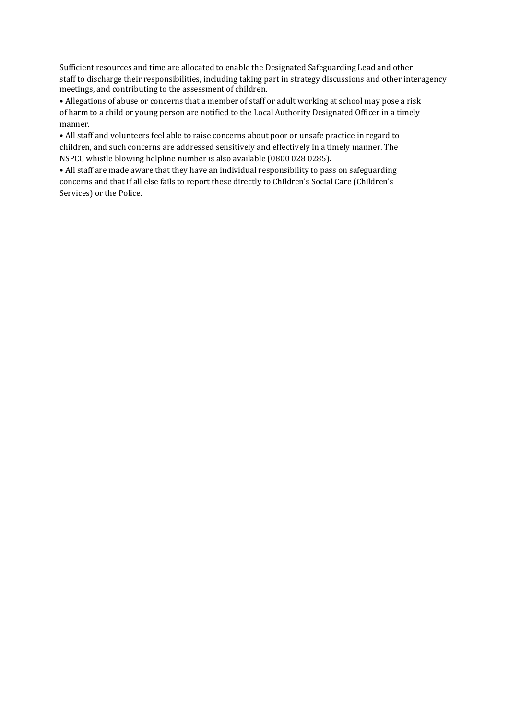Sufficient resources and time are allocated to enable the Designated Safeguarding Lead and other staff to discharge their responsibilities, including taking part in strategy discussions and other interagency meetings, and contributing to the assessment of children.

• Allegations of abuse or concerns that a member of staff or adult working at school may pose a risk of harm to a child or young person are notified to the Local Authority Designated Officer in a timely manner.

• All staff and volunteers feel able to raise concerns about poor or unsafe practice in regard to children, and such concerns are addressed sensitively and effectively in a timely manner. The NSPCC whistle blowing helpline number is also available (0800 028 0285).

• All staff are made aware that they have an individual responsibility to pass on safeguarding concerns and that if all else fails to report these directly to Children's Social Care (Children's Services) or the Police.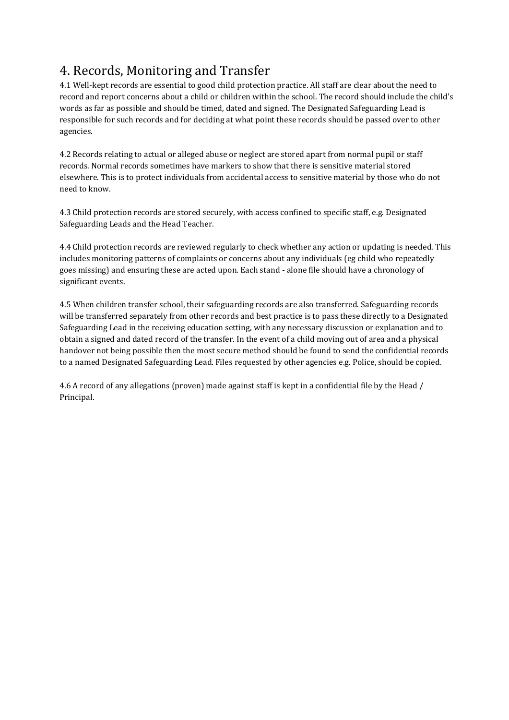# 4. Records, Monitoring and Transfer

4.1 Well-kept records are essential to good child protection practice. All staff are clear about the need to record and report concerns about a child or children within the school. The record should include the child's words as far as possible and should be timed, dated and signed. The Designated Safeguarding Lead is responsible for such records and for deciding at what point these records should be passed over to other agencies.

4.2 Records relating to actual or alleged abuse or neglect are stored apart from normal pupil or staff records. Normal records sometimes have markers to show that there is sensitive material stored elsewhere. This is to protect individuals from accidental access to sensitive material by those who do not need to know.

4.3 Child protection records are stored securely, with access confined to specific staff, e.g. Designated Safeguarding Leads and the Head Teacher.

4.4 Child protection records are reviewed regularly to check whether any action or updating is needed. This includes monitoring patterns of complaints or concerns about any individuals (eg child who repeatedly goes missing) and ensuring these are acted upon. Each stand - alone file should have a chronology of significant events.

4.5 When children transfer school, their safeguarding records are also transferred. Safeguarding records will be transferred separately from other records and best practice is to pass these directly to a Designated Safeguarding Lead in the receiving education setting, with any necessary discussion or explanation and to obtain a signed and dated record of the transfer. In the event of a child moving out of area and a physical handover not being possible then the most secure method should be found to send the confidential records to a named Designated Safeguarding Lead. Files requested by other agencies e.g. Police, should be copied.

4.6 A record of any allegations (proven) made against staff is kept in a confidential file by the Head / Principal.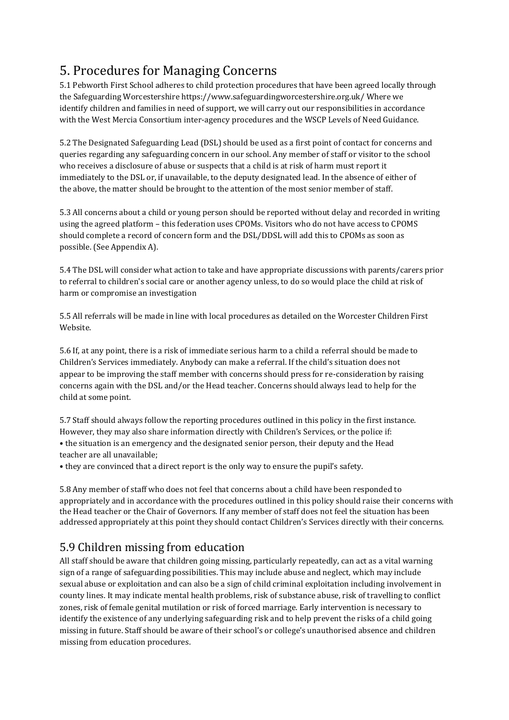# 5. Procedures for Managing Concerns

5.1 Pebworth First School adheres to child protection procedures that have been agreed locally through the Safeguarding Worcestershire https://www.safeguardingworcestershire.org.uk/ Where we identify children and families in need of support, we will carry out our responsibilities in accordance with the West Mercia Consortium inter-agency procedures and the WSCP Levels of Need Guidance.

5.2 The Designated Safeguarding Lead (DSL) should be used as a first point of contact for concerns and queries regarding any safeguarding concern in our school. Any member of staff or visitor to the school who receives a disclosure of abuse or suspects that a child is at risk of harm must report it immediately to the DSL or, if unavailable, to the deputy designated lead. In the absence of either of the above, the matter should be brought to the attention of the most senior member of staff.

5.3 All concerns about a child or young person should be reported without delay and recorded in writing using the agreed platform – this federation uses CPOMs. Visitors who do not have access to CPOMS should complete a record of concern form and the DSL/DDSL will add this to CPOMs as soon as possible. (See Appendix A).

5.4 The DSL will consider what action to take and have appropriate discussions with parents/carers prior to referral to children's social care or another agency unless, to do so would place the child at risk of harm or compromise an investigation

5.5 All referrals will be made in line with local procedures as detailed on the Worcester Children First Website.

5.6 If, at any point, there is a risk of immediate serious harm to a child a referral should be made to Children's Services immediately. Anybody can make a referral. If the child's situation does not appear to be improving the staff member with concerns should press for re-consideration by raising concerns again with the DSL and/or the Head teacher. Concerns should always lead to help for the child at some point.

5.7 Staff should always follow the reporting procedures outlined in this policy in the first instance. However, they may also share information directly with Children's Services, or the police if: • the situation is an emergency and the designated senior person, their deputy and the Head teacher are all unavailable;

• they are convinced that a direct report is the only way to ensure the pupil's safety.

5.8 Any member of staff who does not feel that concerns about a child have been responded to appropriately and in accordance with the procedures outlined in this policy should raise their concerns with the Head teacher or the Chair of Governors. If any member of staff does not feel the situation has been addressed appropriately at this point they should contact Children's Services directly with their concerns.

# 5.9 Children missing from education

All staff should be aware that children going missing, particularly repeatedly, can act as a vital warning sign of a range of safeguarding possibilities. This may include abuse and neglect, which may include sexual abuse or exploitation and can also be a sign of child criminal exploitation including involvement in county lines. It may indicate mental health problems, risk of substance abuse, risk of travelling to conflict zones, risk of female genital mutilation or risk of forced marriage. Early intervention is necessary to identify the existence of any underlying safeguarding risk and to help prevent the risks of a child going missing in future. Staff should be aware of their school's or college's unauthorised absence and children missing from education procedures.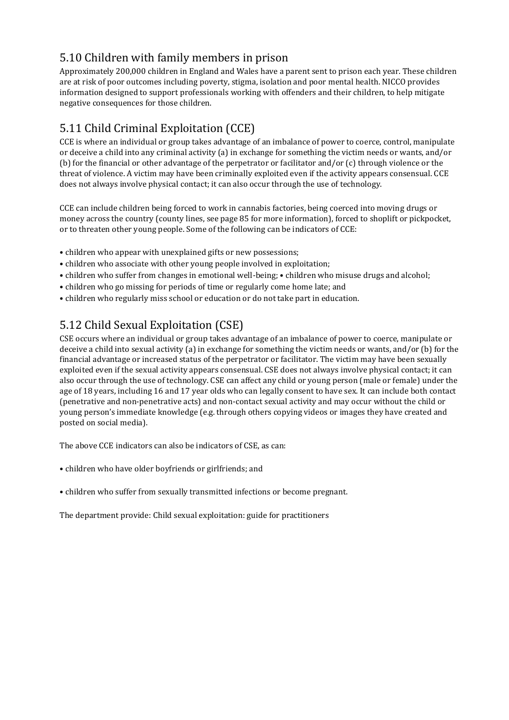# 5.10 Children with family members in prison

Approximately 200,000 children in England and Wales have a parent sent to prison each year. These children are at risk of poor outcomes including poverty, stigma, isolation and poor mental health. NICCO provides information designed to support professionals working with offenders and their children, to help mitigate negative consequences for those children.

# 5.11 Child Criminal Exploitation (CCE)

CCE is where an individual or group takes advantage of an imbalance of power to coerce, control, manipulate or deceive a child into any criminal activity (a) in exchange for something the victim needs or wants, and/or (b) for the financial or other advantage of the perpetrator or facilitator and/or (c) through violence or the threat of violence. A victim may have been criminally exploited even if the activity appears consensual. CCE does not always involve physical contact; it can also occur through the use of technology.

CCE can include children being forced to work in cannabis factories, being coerced into moving drugs or money across the country (county lines, see page 85 for more information), forced to shoplift or pickpocket, or to threaten other young people. Some of the following can be indicators of CCE:

- children who appear with unexplained gifts or new possessions;
- children who associate with other young people involved in exploitation;
- children who suffer from changes in emotional well-being; children who misuse drugs and alcohol;
- children who go missing for periods of time or regularly come home late; and
- children who regularly miss school or education or do not take part in education.

# 5.12 Child Sexual Exploitation (CSE)

CSE occurs where an individual or group takes advantage of an imbalance of power to coerce, manipulate or deceive a child into sexual activity (a) in exchange for something the victim needs or wants, and/or (b) for the financial advantage or increased status of the perpetrator or facilitator. The victim may have been sexually exploited even if the sexual activity appears consensual. CSE does not always involve physical contact; it can also occur through the use of technology. CSE can affect any child or young person (male or female) under the age of 18 years, including 16 and 17 year olds who can legally consent to have sex. It can include both contact (penetrative and non-penetrative acts) and non-contact sexual activity and may occur without the child or young person's immediate knowledge (e.g. through others copying videos or images they have created and posted on social media).

The above CCE indicators can also be indicators of CSE, as can:

- children who have older boyfriends or girlfriends; and
- children who suffer from sexually transmitted infections or become pregnant.

The department provide: Child sexual exploitation: guide for practitioners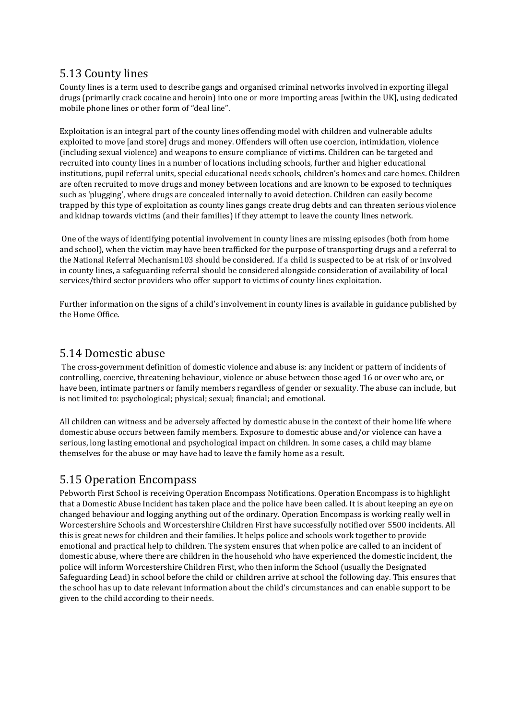# 5.13 County lines

County lines is a term used to describe gangs and organised criminal networks involved in exporting illegal drugs (primarily crack cocaine and heroin) into one or more importing areas [within the UK], using dedicated mobile phone lines or other form of "deal line".

Exploitation is an integral part of the county lines offending model with children and vulnerable adults exploited to move [and store] drugs and money. Offenders will often use coercion, intimidation, violence (including sexual violence) and weapons to ensure compliance of victims. Children can be targeted and recruited into county lines in a number of locations including schools, further and higher educational institutions, pupil referral units, special educational needs schools, children's homes and care homes. Children are often recruited to move drugs and money between locations and are known to be exposed to techniques such as 'plugging', where drugs are concealed internally to avoid detection. Children can easily become trapped by this type of exploitation as county lines gangs create drug debts and can threaten serious violence and kidnap towards victims (and their families) if they attempt to leave the county lines network.

One of the ways of identifying potential involvement in county lines are missing episodes (both from home and school), when the victim may have been trafficked for the purpose of transporting drugs and a referral to the National Referral Mechanism103 should be considered. If a child is suspected to be at risk of or involved in county lines, a safeguarding referral should be considered alongside consideration of availability of local services/third sector providers who offer support to victims of county lines exploitation.

Further information on the signs of a child's involvement in county lines is available in guidance published by the Home Office.

### 5.14 Domestic abuse

The cross-government definition of domestic violence and abuse is: any incident or pattern of incidents of controlling, coercive, threatening behaviour, violence or abuse between those aged 16 or over who are, or have been, intimate partners or family members regardless of gender or sexuality. The abuse can include, but is not limited to: psychological; physical; sexual; financial; and emotional.

All children can witness and be adversely affected by domestic abuse in the context of their home life where domestic abuse occurs between family members. Exposure to domestic abuse and/or violence can have a serious, long lasting emotional and psychological impact on children. In some cases, a child may blame themselves for the abuse or may have had to leave the family home as a result.

### 5.15 Operation Encompass

Pebworth First School is receiving Operation Encompass Notifications. Operation Encompass is to highlight that a Domestic Abuse Incident has taken place and the police have been called. It is about keeping an eye on changed behaviour and logging anything out of the ordinary. Operation Encompass is working really well in Worcestershire Schools and Worcestershire Children First have successfully notified over 5500 incidents. All this is great news for children and their families. It helps police and schools work together to provide emotional and practical help to children. The system ensures that when police are called to an incident of domestic abuse, where there are children in the household who have experienced the domestic incident, the police will inform Worcestershire Children First, who then inform the School (usually the Designated Safeguarding Lead) in school before the child or children arrive at school the following day. This ensures that the school has up to date relevant information about the child's circumstances and can enable support to be given to the child according to their needs.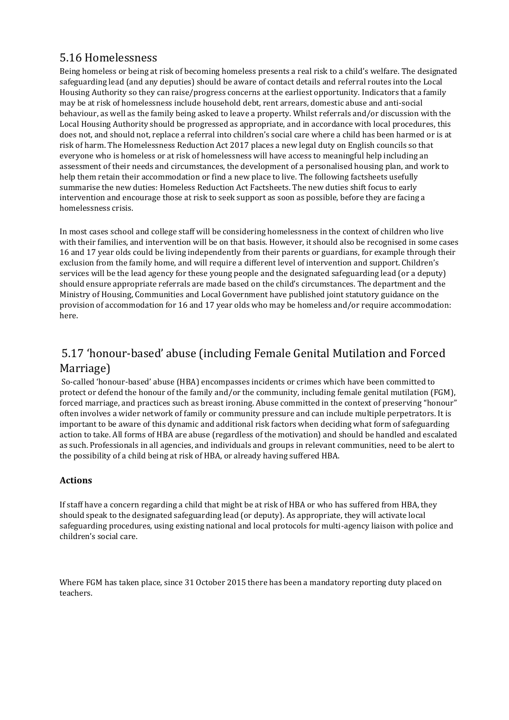# 5.16 Homelessness

Being homeless or being at risk of becoming homeless presents a real risk to a child's welfare. The designated safeguarding lead (and any deputies) should be aware of contact details and referral routes into the Local Housing Authority so they can raise/progress concerns at the earliest opportunity. Indicators that a family may be at risk of homelessness include household debt, rent arrears, domestic abuse and anti-social behaviour, as well as the family being asked to leave a property. Whilst referrals and/or discussion with the Local Housing Authority should be progressed as appropriate, and in accordance with local procedures, this does not, and should not, replace a referral into children's social care where a child has been harmed or is at risk of harm. The Homelessness Reduction Act 2017 places a new legal duty on English councils so that everyone who is homeless or at risk of homelessness will have access to meaningful help including an assessment of their needs and circumstances, the development of a personalised housing plan, and work to help them retain their accommodation or find a new place to live. The following factsheets usefully summarise the new duties: Homeless Reduction Act Factsheets. The new duties shift focus to early intervention and encourage those at risk to seek support as soon as possible, before they are facing a homelessness crisis.

In most cases school and college staff will be considering homelessness in the context of children who live with their families, and intervention will be on that basis. However, it should also be recognised in some cases 16 and 17 year olds could be living independently from their parents or guardians, for example through their exclusion from the family home, and will require a different level of intervention and support. Children's services will be the lead agency for these young people and the designated safeguarding lead (or a deputy) should ensure appropriate referrals are made based on the child's circumstances. The department and the Ministry of Housing, Communities and Local Government have published joint statutory guidance on the provision of accommodation for 16 and 17 year olds who may be homeless and/or require accommodation: here.

# 5.17 'honour-based' abuse (including Female Genital Mutilation and Forced Marriage)

So-called 'honour-based' abuse (HBA) encompasses incidents or crimes which have been committed to protect or defend the honour of the family and/or the community, including female genital mutilation (FGM), forced marriage, and practices such as breast ironing. Abuse committed in the context of preserving "honour" often involves a wider network of family or community pressure and can include multiple perpetrators. It is important to be aware of this dynamic and additional risk factors when deciding what form of safeguarding action to take. All forms of HBA are abuse (regardless of the motivation) and should be handled and escalated as such. Professionals in all agencies, and individuals and groups in relevant communities, need to be alert to the possibility of a child being at risk of HBA, or already having suffered HBA.

#### **Actions**

If staff have a concern regarding a child that might be at risk of HBA or who has suffered from HBA, they should speak to the designated safeguarding lead (or deputy). As appropriate, they will activate local safeguarding procedures, using existing national and local protocols for multi-agency liaison with police and children's social care.

Where FGM has taken place, since 31 October 2015 there has been a mandatory reporting duty placed on teachers.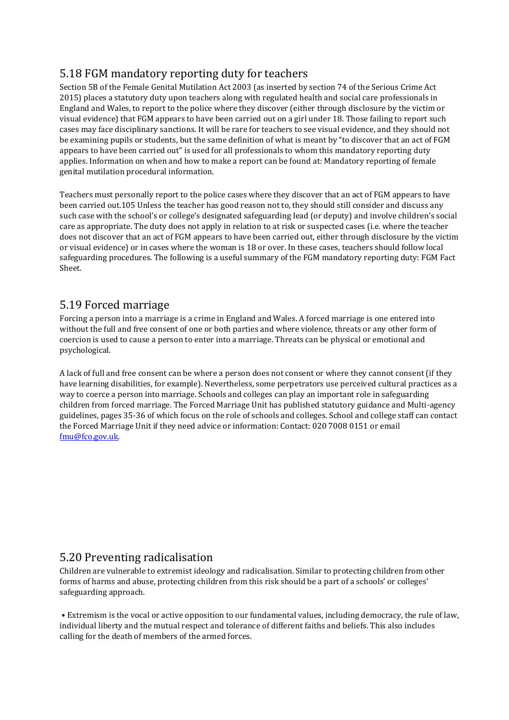# 5.18 FGM mandatory reporting duty for teachers

Section 5B of the Female Genital Mutilation Act 2003 (as inserted by section 74 of the Serious Crime Act 2015) places a statutory duty upon teachers along with regulated health and social care professionals in England and Wales, to report to the police where they discover (either through disclosure by the victim or visual evidence) that FGM appears to have been carried out on a girl under 18. Those failing to report such cases may face disciplinary sanctions. It will be rare for teachers to see visual evidence, and they should not be examining pupils or students, but the same definition of what is meant by "to discover that an act of FGM appears to have been carried out" is used for all professionals to whom this mandatory reporting duty applies. Information on when and how to make a report can be found at: Mandatory reporting of female genital mutilation procedural information.

Teachers must personally report to the police cases where they discover that an act of FGM appears to have been carried out.105 Unless the teacher has good reason not to, they should still consider and discuss any such case with the school's or college's designated safeguarding lead (or deputy) and involve children's social care as appropriate. The duty does not apply in relation to at risk or suspected cases (i.e. where the teacher does not discover that an act of FGM appears to have been carried out, either through disclosure by the victim or visual evidence) or in cases where the woman is 18 or over. In these cases, teachers should follow local safeguarding procedures. The following is a useful summary of the FGM mandatory reporting duty: FGM Fact Sheet.

## 5.19 Forced marriage

Forcing a person into a marriage is a crime in England and Wales. A forced marriage is one entered into without the full and free consent of one or both parties and where violence, threats or any other form of coercion is used to cause a person to enter into a marriage. Threats can be physical or emotional and psychological.

A lack of full and free consent can be where a person does not consent or where they cannot consent (if they have learning disabilities, for example). Nevertheless, some perpetrators use perceived cultural practices as a way to coerce a person into marriage. Schools and colleges can play an important role in safeguarding children from forced marriage. The Forced Marriage Unit has published statutory guidance and Multi-agency guidelines, pages 35-36 of which focus on the role of schools and colleges. School and college staff can contact the Forced Marriage Unit if they need advice or information: Contact: 020 7008 0151 or email [fmu@fco.gov.uk.](mailto:fmu@fco.gov.uk)

### 5.20 Preventing radicalisation

Children are vulnerable to extremist ideology and radicalisation. Similar to protecting children from other forms of harms and abuse, protecting children from this risk should be a part of a schools' or colleges' safeguarding approach.

• Extremism is the vocal or active opposition to our fundamental values, including democracy, the rule of law, individual liberty and the mutual respect and tolerance of different faiths and beliefs. This also includes calling for the death of members of the armed forces.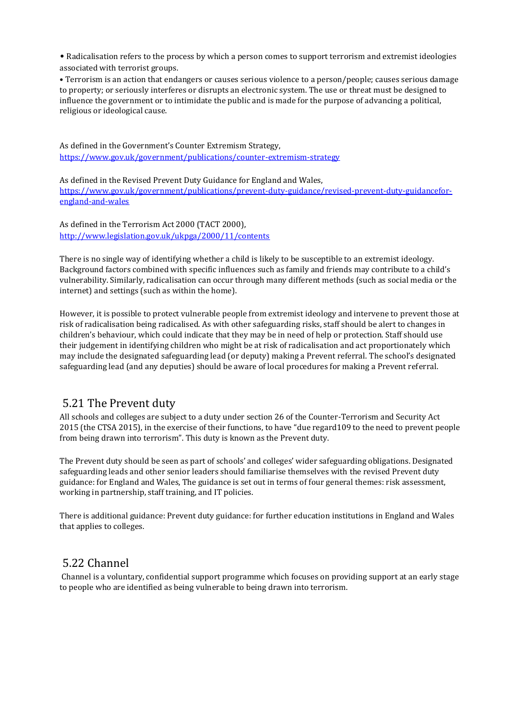• Radicalisation refers to the process by which a person comes to support terrorism and extremist ideologies associated with terrorist groups.

• Terrorism is an action that endangers or causes serious violence to a person/people; causes serious damage to property; or seriously interferes or disrupts an electronic system. The use or threat must be designed to influence the government or to intimidate the public and is made for the purpose of advancing a political, religious or ideological cause.

As defined in the Government's Counter Extremism Strategy, <https://www.gov.uk/government/publications/counter-extremism-strategy>

As defined in the Revised Prevent Duty Guidance for England and Wales, [https://www.gov.uk/government/publications/prevent-duty-guidance/revised-prevent-duty-guidancefor](https://www.gov.uk/government/publications/prevent-duty-guidance/revised-prevent-duty-guidancefor-england-and-wales)[england-and-wales](https://www.gov.uk/government/publications/prevent-duty-guidance/revised-prevent-duty-guidancefor-england-and-wales)

As defined in the Terrorism Act 2000 (TACT 2000), <http://www.legislation.gov.uk/ukpga/2000/11/contents>

There is no single way of identifying whether a child is likely to be susceptible to an extremist ideology. Background factors combined with specific influences such as family and friends may contribute to a child's vulnerability. Similarly, radicalisation can occur through many different methods (such as social media or the internet) and settings (such as within the home).

However, it is possible to protect vulnerable people from extremist ideology and intervene to prevent those at risk of radicalisation being radicalised. As with other safeguarding risks, staff should be alert to changes in children's behaviour, which could indicate that they may be in need of help or protection. Staff should use their judgement in identifying children who might be at risk of radicalisation and act proportionately which may include the designated safeguarding lead (or deputy) making a Prevent referral. The school's designated safeguarding lead (and any deputies) should be aware of local procedures for making a Prevent referral.

### 5.21 The Prevent duty

All schools and colleges are subject to a duty under section 26 of the Counter-Terrorism and Security Act 2015 (the CTSA 2015), in the exercise of their functions, to have "due regard109 to the need to prevent people from being drawn into terrorism". This duty is known as the Prevent duty.

The Prevent duty should be seen as part of schools' and colleges' wider safeguarding obligations. Designated safeguarding leads and other senior leaders should familiarise themselves with the revised Prevent duty guidance: for England and Wales, The guidance is set out in terms of four general themes: risk assessment, working in partnership, staff training, and IT policies.

There is additional guidance: Prevent duty guidance: for further education institutions in England and Wales that applies to colleges.

### 5.22 Channel

Channel is a voluntary, confidential support programme which focuses on providing support at an early stage to people who are identified as being vulnerable to being drawn into terrorism.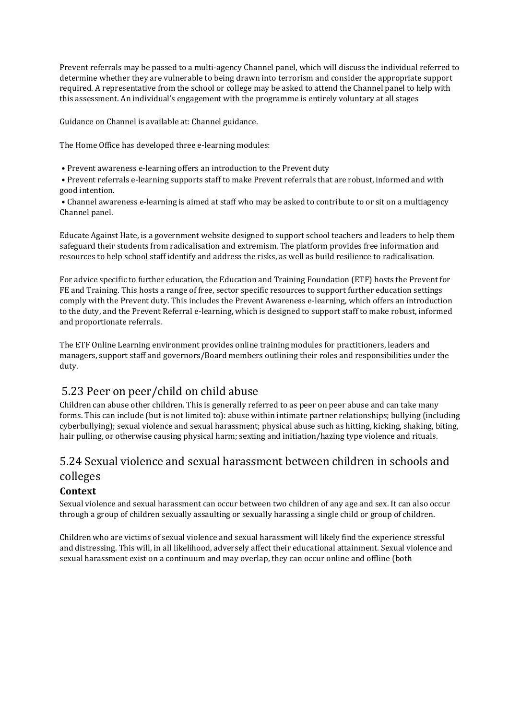Prevent referrals may be passed to a multi-agency Channel panel, which will discuss the individual referred to determine whether they are vulnerable to being drawn into terrorism and consider the appropriate support required. A representative from the school or college may be asked to attend the Channel panel to help with this assessment. An individual's engagement with the programme is entirely voluntary at all stages

Guidance on Channel is available at: Channel guidance.

The Home Office has developed three e-learning modules:

• Prevent awareness e-learning offers an introduction to the Prevent duty

• Prevent referrals e-learning supports staff to make Prevent referrals that are robust, informed and with good intention.

• Channel awareness e-learning is aimed at staff who may be asked to contribute to or sit on a multiagency Channel panel.

Educate Against Hate, is a government website designed to support school teachers and leaders to help them safeguard their students from radicalisation and extremism. The platform provides free information and resources to help school staff identify and address the risks, as well as build resilience to radicalisation.

For advice specific to further education, the Education and Training Foundation (ETF) hosts the Prevent for FE and Training. This hosts a range of free, sector specific resources to support further education settings comply with the Prevent duty. This includes the Prevent Awareness e-learning, which offers an introduction to the duty, and the Prevent Referral e-learning, which is designed to support staff to make robust, informed and proportionate referrals.

The ETF Online Learning environment provides online training modules for practitioners, leaders and managers, support staff and governors/Board members outlining their roles and responsibilities under the duty.

### 5.23 Peer on peer/child on child abuse

Children can abuse other children. This is generally referred to as peer on peer abuse and can take many forms. This can include (but is not limited to): abuse within intimate partner relationships; bullying (including cyberbullying); sexual violence and sexual harassment; physical abuse such as hitting, kicking, shaking, biting, hair pulling, or otherwise causing physical harm; sexting and initiation/hazing type violence and rituals.

# 5.24 Sexual violence and sexual harassment between children in schools and colleges

### **Context**

Sexual violence and sexual harassment can occur between two children of any age and sex. It can also occur through a group of children sexually assaulting or sexually harassing a single child or group of children.

Children who are victims of sexual violence and sexual harassment will likely find the experience stressful and distressing. This will, in all likelihood, adversely affect their educational attainment. Sexual violence and sexual harassment exist on a continuum and may overlap, they can occur online and offline (both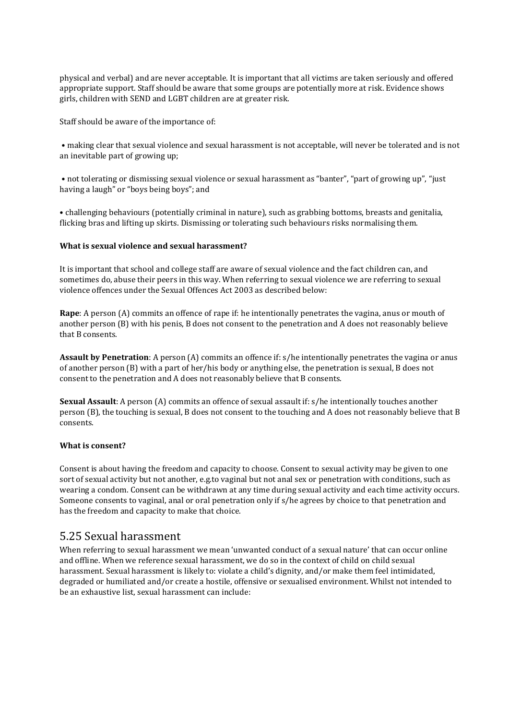physical and verbal) and are never acceptable. It is important that all victims are taken seriously and offered appropriate support. Staff should be aware that some groups are potentially more at risk. Evidence shows girls, children with SEND and LGBT children are at greater risk.

Staff should be aware of the importance of:

• making clear that sexual violence and sexual harassment is not acceptable, will never be tolerated and is not an inevitable part of growing up;

• not tolerating or dismissing sexual violence or sexual harassment as "banter", "part of growing up", "just having a laugh" or "boys being boys"; and

• challenging behaviours (potentially criminal in nature), such as grabbing bottoms, breasts and genitalia, flicking bras and lifting up skirts. Dismissing or tolerating such behaviours risks normalising them.

#### **What is sexual violence and sexual harassment?**

It is important that school and college staff are aware of sexual violence and the fact children can, and sometimes do, abuse their peers in this way. When referring to sexual violence we are referring to sexual violence offences under the Sexual Offences Act 2003 as described below:

**Rape**: A person (A) commits an offence of rape if: he intentionally penetrates the vagina, anus or mouth of another person (B) with his penis, B does not consent to the penetration and A does not reasonably believe that B consents.

**Assault by Penetration**: A person (A) commits an offence if: s/he intentionally penetrates the vagina or anus of another person (B) with a part of her/his body or anything else, the penetration is sexual, B does not consent to the penetration and A does not reasonably believe that B consents.

**Sexual Assault**: A person (A) commits an offence of sexual assault if: s/he intentionally touches another person (B), the touching is sexual, B does not consent to the touching and A does not reasonably believe that B consents.

#### **What is consent?**

Consent is about having the freedom and capacity to choose. Consent to sexual activity may be given to one sort of sexual activity but not another, e.g.to vaginal but not anal sex or penetration with conditions, such as wearing a condom. Consent can be withdrawn at any time during sexual activity and each time activity occurs. Someone consents to vaginal, anal or oral penetration only if s/he agrees by choice to that penetration and has the freedom and capacity to make that choice.

### 5.25 Sexual harassment

When referring to sexual harassment we mean 'unwanted conduct of a sexual nature' that can occur online and offline. When we reference sexual harassment, we do so in the context of child on child sexual harassment. Sexual harassment is likely to: violate a child's dignity, and/or make them feel intimidated, degraded or humiliated and/or create a hostile, offensive or sexualised environment. Whilst not intended to be an exhaustive list, sexual harassment can include: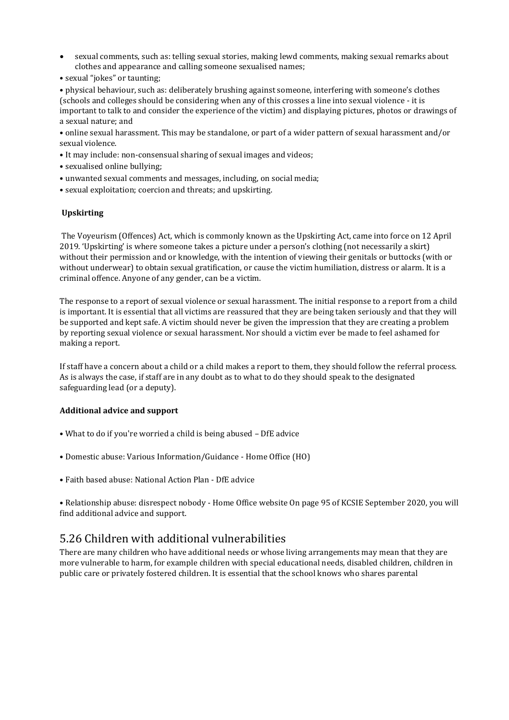- sexual comments, such as: telling sexual stories, making lewd comments, making sexual remarks about clothes and appearance and calling someone sexualised names;
- sexual "jokes" or taunting;

• physical behaviour, such as: deliberately brushing against someone, interfering with someone's clothes (schools and colleges should be considering when any of this crosses a line into sexual violence - it is important to talk to and consider the experience of the victim) and displaying pictures, photos or drawings of a sexual nature; and

• online sexual harassment. This may be standalone, or part of a wider pattern of sexual harassment and/or sexual violence.

- It may include: non-consensual sharing of sexual images and videos;
- sexualised online bullying;
- unwanted sexual comments and messages, including, on social media;
- sexual exploitation; coercion and threats; and upskirting.

#### **Upskirting**

The Voyeurism (Offences) Act, which is commonly known as the Upskirting Act, came into force on 12 April 2019. 'Upskirting' is where someone takes a picture under a person's clothing (not necessarily a skirt) without their permission and or knowledge, with the intention of viewing their genitals or buttocks (with or without underwear) to obtain sexual gratification, or cause the victim humiliation, distress or alarm. It is a criminal offence. Anyone of any gender, can be a victim.

The response to a report of sexual violence or sexual harassment. The initial response to a report from a child is important. It is essential that all victims are reassured that they are being taken seriously and that they will be supported and kept safe. A victim should never be given the impression that they are creating a problem by reporting sexual violence or sexual harassment. Nor should a victim ever be made to feel ashamed for making a report.

If staff have a concern about a child or a child makes a report to them, they should follow the referral process. As is always the case, if staff are in any doubt as to what to do they should speak to the designated safeguarding lead (or a deputy).

#### **Additional advice and support**

- What to do if you're worried a child is being abused DfE advice
- Domestic abuse: Various Information/Guidance Home Office (HO)
- Faith based abuse: National Action Plan DfE advice

• Relationship abuse: disrespect nobody - Home Office website On page 95 of KCSIE September 2020, you will find additional advice and support.

### 5.26 Children with additional vulnerabilities

There are many children who have additional needs or whose living arrangements may mean that they are more vulnerable to harm, for example children with special educational needs, disabled children, children in public care or privately fostered children. It is essential that the school knows who shares parental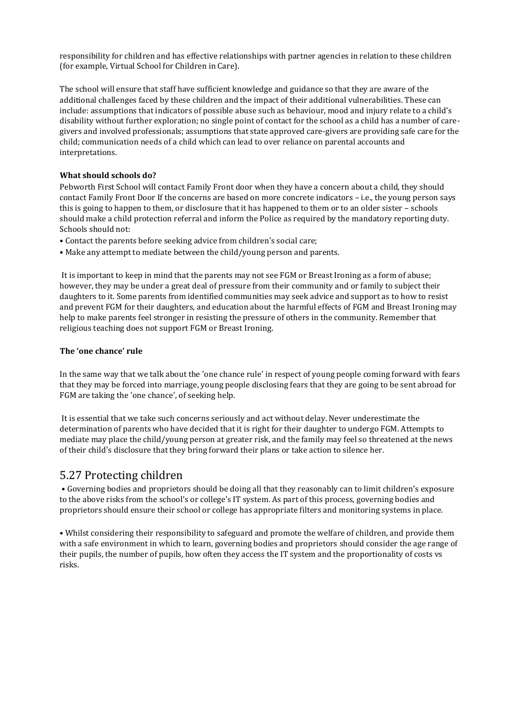responsibility for children and has effective relationships with partner agencies in relation to these children (for example, Virtual School for Children in Care).

The school will ensure that staff have sufficient knowledge and guidance so that they are aware of the additional challenges faced by these children and the impact of their additional vulnerabilities. These can include: assumptions that indicators of possible abuse such as behaviour, mood and injury relate to a child's disability without further exploration; no single point of contact for the school as a child has a number of caregivers and involved professionals; assumptions that state approved care-givers are providing safe care for the child; communication needs of a child which can lead to over reliance on parental accounts and interpretations.

#### **What should schools do?**

Pebworth First School will contact Family Front door when they have a concern about a child, they should contact Family Front Door If the concerns are based on more concrete indicators – i.e., the young person says this is going to happen to them, or disclosure that it has happened to them or to an older sister – schools should make a child protection referral and inform the Police as required by the mandatory reporting duty. Schools should not:

- Contact the parents before seeking advice from children's social care;
- Make any attempt to mediate between the child/young person and parents.

It is important to keep in mind that the parents may not see FGM or Breast Ironing as a form of abuse; however, they may be under a great deal of pressure from their community and or family to subject their daughters to it. Some parents from identified communities may seek advice and support as to how to resist and prevent FGM for their daughters, and education about the harmful effects of FGM and Breast Ironing may help to make parents feel stronger in resisting the pressure of others in the community. Remember that religious teaching does not support FGM or Breast Ironing.

#### **The 'one chance' rule**

In the same way that we talk about the 'one chance rule' in respect of young people coming forward with fears that they may be forced into marriage, young people disclosing fears that they are going to be sent abroad for FGM are taking the 'one chance', of seeking help.

It is essential that we take such concerns seriously and act without delay. Never underestimate the determination of parents who have decided that it is right for their daughter to undergo FGM. Attempts to mediate may place the child/young person at greater risk, and the family may feel so threatened at the news of their child's disclosure that they bring forward their plans or take action to silence her.

### 5.27 Protecting children

• Governing bodies and proprietors should be doing all that they reasonably can to limit children's exposure to the above risks from the school's or college's IT system. As part of this process, governing bodies and proprietors should ensure their school or college has appropriate filters and monitoring systems in place.

• Whilst considering their responsibility to safeguard and promote the welfare of children, and provide them with a safe environment in which to learn, governing bodies and proprietors should consider the age range of their pupils, the number of pupils, how often they access the IT system and the proportionality of costs vs risks.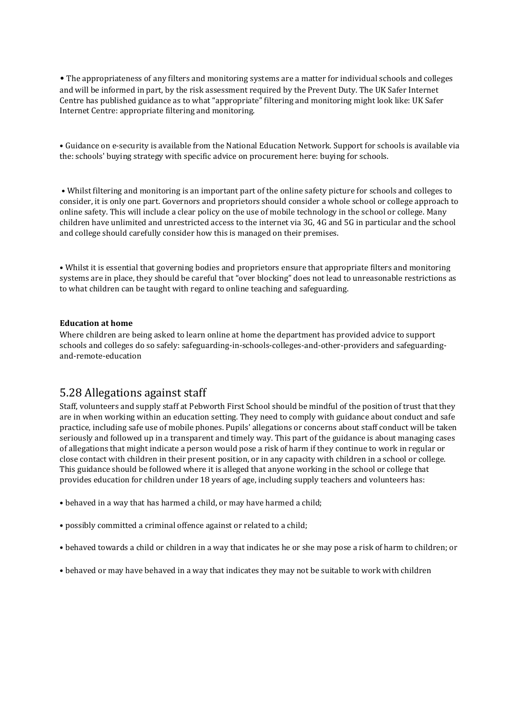• The appropriateness of any filters and monitoring systems are a matter for individual schools and colleges and will be informed in part, by the risk assessment required by the Prevent Duty. The UK Safer Internet Centre has published guidance as to what "appropriate" filtering and monitoring might look like: UK Safer Internet Centre: appropriate filtering and monitoring.

• Guidance on e-security is available from the National Education Network. Support for schools is available via the: schools' buying strategy with specific advice on procurement here: buying for schools.

• Whilst filtering and monitoring is an important part of the online safety picture for schools and colleges to consider, it is only one part. Governors and proprietors should consider a whole school or college approach to online safety. This will include a clear policy on the use of mobile technology in the school or college. Many children have unlimited and unrestricted access to the internet via 3G, 4G and 5G in particular and the school and college should carefully consider how this is managed on their premises.

• Whilst it is essential that governing bodies and proprietors ensure that appropriate filters and monitoring systems are in place, they should be careful that "over blocking" does not lead to unreasonable restrictions as to what children can be taught with regard to online teaching and safeguarding.

#### **Education at home**

Where children are being asked to learn online at home the department has provided advice to support schools and colleges do so safely: safeguarding-in-schools-colleges-and-other-providers and safeguardingand-remote-education

### 5.28 Allegations against staff

Staff, volunteers and supply staff at Pebworth First School should be mindful of the position of trust that they are in when working within an education setting. They need to comply with guidance about conduct and safe practice, including safe use of mobile phones. Pupils' allegations or concerns about staff conduct will be taken seriously and followed up in a transparent and timely way. This part of the guidance is about managing cases of allegations that might indicate a person would pose a risk of harm if they continue to work in regular or close contact with children in their present position, or in any capacity with children in a school or college. This guidance should be followed where it is alleged that anyone working in the school or college that provides education for children under 18 years of age, including supply teachers and volunteers has:

- behaved in a way that has harmed a child, or may have harmed a child;
- possibly committed a criminal offence against or related to a child;
- behaved towards a child or children in a way that indicates he or she may pose a risk of harm to children; or
- behaved or may have behaved in a way that indicates they may not be suitable to work with children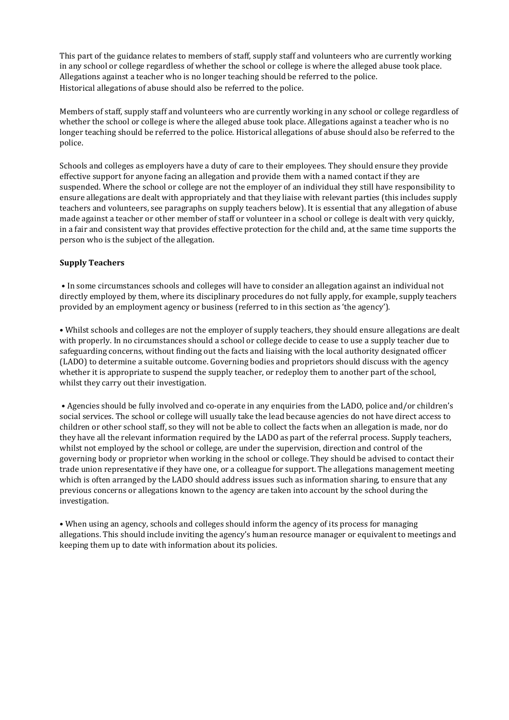This part of the guidance relates to members of staff, supply staff and volunteers who are currently working in any school or college regardless of whether the school or college is where the alleged abuse took place. Allegations against a teacher who is no longer teaching should be referred to the police. Historical allegations of abuse should also be referred to the police.

Members of staff, supply staff and volunteers who are currently working in any school or college regardless of whether the school or college is where the alleged abuse took place. Allegations against a teacher who is no longer teaching should be referred to the police. Historical allegations of abuse should also be referred to the police.

Schools and colleges as employers have a duty of care to their employees. They should ensure they provide effective support for anyone facing an allegation and provide them with a named contact if they are suspended. Where the school or college are not the employer of an individual they still have responsibility to ensure allegations are dealt with appropriately and that they liaise with relevant parties (this includes supply teachers and volunteers, see paragraphs on supply teachers below). It is essential that any allegation of abuse made against a teacher or other member of staff or volunteer in a school or college is dealt with very quickly, in a fair and consistent way that provides effective protection for the child and, at the same time supports the person who is the subject of the allegation.

#### **Supply Teachers**

• In some circumstances schools and colleges will have to consider an allegation against an individual not directly employed by them, where its disciplinary procedures do not fully apply, for example, supply teachers provided by an employment agency or business (referred to in this section as 'the agency').

• Whilst schools and colleges are not the employer of supply teachers, they should ensure allegations are dealt with properly. In no circumstances should a school or college decide to cease to use a supply teacher due to safeguarding concerns, without finding out the facts and liaising with the local authority designated officer (LADO) to determine a suitable outcome. Governing bodies and proprietors should discuss with the agency whether it is appropriate to suspend the supply teacher, or redeploy them to another part of the school, whilst they carry out their investigation.

• Agencies should be fully involved and co-operate in any enquiries from the LADO, police and/or children's social services. The school or college will usually take the lead because agencies do not have direct access to children or other school staff, so they will not be able to collect the facts when an allegation is made, nor do they have all the relevant information required by the LADO as part of the referral process. Supply teachers, whilst not employed by the school or college, are under the supervision, direction and control of the governing body or proprietor when working in the school or college. They should be advised to contact their trade union representative if they have one, or a colleague for support. The allegations management meeting which is often arranged by the LADO should address issues such as information sharing, to ensure that any previous concerns or allegations known to the agency are taken into account by the school during the investigation.

• When using an agency, schools and colleges should inform the agency of its process for managing allegations. This should include inviting the agency's human resource manager or equivalent to meetings and keeping them up to date with information about its policies.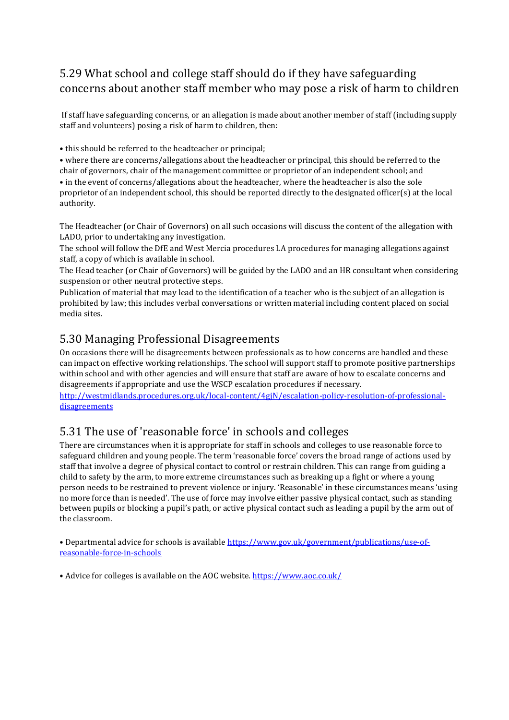# 5.29 What school and college staff should do if they have safeguarding concerns about another staff member who may pose a risk of harm to children

If staff have safeguarding concerns, or an allegation is made about another member of staff (including supply staff and volunteers) posing a risk of harm to children, then:

• this should be referred to the headteacher or principal;

• where there are concerns/allegations about the headteacher or principal, this should be referred to the chair of governors, chair of the management committee or proprietor of an independent school; and • in the event of concerns/allegations about the headteacher, where the headteacher is also the sole proprietor of an independent school, this should be reported directly to the designated officer(s) at the local authority.

The Headteacher (or Chair of Governors) on all such occasions will discuss the content of the allegation with LADO, prior to undertaking any investigation.

The school will follow the DfE and West Mercia procedures LA procedures for managing allegations against staff, a copy of which is available in school.

The Head teacher (or Chair of Governors) will be guided by the LADO and an HR consultant when considering suspension or other neutral protective steps.

Publication of material that may lead to the identification of a teacher who is the subject of an allegation is prohibited by law; this includes verbal conversations or written material including content placed on social media sites.

## 5.30 Managing Professional Disagreements

On occasions there will be disagreements between professionals as to how concerns are handled and these can impact on effective working relationships. The school will support staff to promote positive partnerships within school and with other agencies and will ensure that staff are aware of how to escalate concerns and disagreements if appropriate and use the WSCP escalation procedures if necessary.

[http://westmidlands.procedures.org.uk/local-content/4gjN/escalation-policy-resolution-of-professional](http://westmidlands.procedures.org.uk/local-content/4gjN/escalation-policy-resolution-of-professional-disagreements)**[disagreements](http://westmidlands.procedures.org.uk/local-content/4gjN/escalation-policy-resolution-of-professional-disagreements)** 

# 5.31 The use of 'reasonable force' in schools and colleges

There are circumstances when it is appropriate for staff in schools and colleges to use reasonable force to safeguard children and young people. The term 'reasonable force' covers the broad range of actions used by staff that involve a degree of physical contact to control or restrain children. This can range from guiding a child to safety by the arm, to more extreme circumstances such as breaking up a fight or where a young person needs to be restrained to prevent violence or injury. 'Reasonable' in these circumstances means 'using no more force than is needed'. The use of force may involve either passive physical contact, such as standing between pupils or blocking a pupil's path, or active physical contact such as leading a pupil by the arm out of the classroom.

• Departmental advice for schools is available [https://www.gov.uk/government/publications/use-of](https://www.gov.uk/government/publications/use-of-reasonable-force-in-schools)[reasonable-force-in-schools](https://www.gov.uk/government/publications/use-of-reasonable-force-in-schools)

• Advice for colleges is available on the AOC website. <https://www.aoc.co.uk/>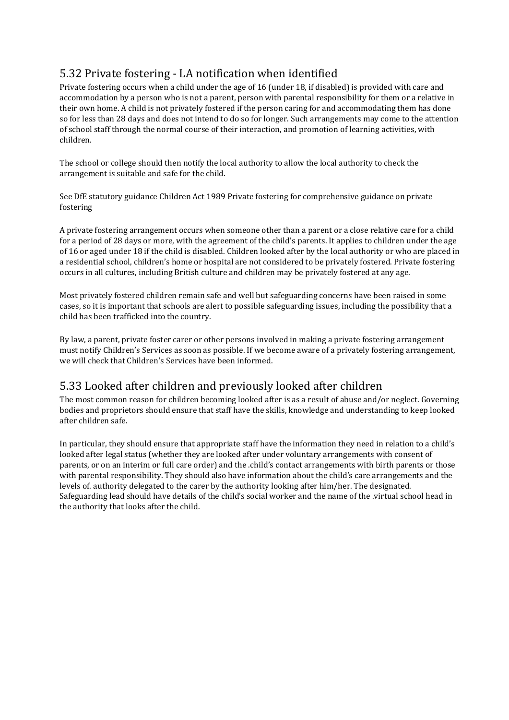# 5.32 Private fostering - LA notification when identified

Private fostering occurs when a child under the age of 16 (under 18, if disabled) is provided with care and accommodation by a person who is not a parent, person with parental responsibility for them or a relative in their own home. A child is not privately fostered if the person caring for and accommodating them has done so for less than 28 days and does not intend to do so for longer. Such arrangements may come to the attention of school staff through the normal course of their interaction, and promotion of learning activities, with children.

The school or college should then notify the local authority to allow the local authority to check the arrangement is suitable and safe for the child.

See DfE statutory guidance Children Act 1989 Private fostering for comprehensive guidance on private fostering

A private fostering arrangement occurs when someone other than a parent or a close relative care for a child for a period of 28 days or more, with the agreement of the child's parents. It applies to children under the age of 16 or aged under 18 if the child is disabled. Children looked after by the local authority or who are placed in a residential school, children's home or hospital are not considered to be privately fostered. Private fostering occurs in all cultures, including British culture and children may be privately fostered at any age.

Most privately fostered children remain safe and well but safeguarding concerns have been raised in some cases, so it is important that schools are alert to possible safeguarding issues, including the possibility that a child has been trafficked into the country.

By law, a parent, private foster carer or other persons involved in making a private fostering arrangement must notify Children's Services as soon as possible. If we become aware of a privately fostering arrangement, we will check that Children's Services have been informed.

# 5.33 Looked after children and previously looked after children

The most common reason for children becoming looked after is as a result of abuse and/or neglect. Governing bodies and proprietors should ensure that staff have the skills, knowledge and understanding to keep looked after children safe.

In particular, they should ensure that appropriate staff have the information they need in relation to a child's looked after legal status (whether they are looked after under voluntary arrangements with consent of parents, or on an interim or full care order) and the .child's contact arrangements with birth parents or those with parental responsibility. They should also have information about the child's care arrangements and the levels of. authority delegated to the carer by the authority looking after him/her. The designated. Safeguarding lead should have details of the child's social worker and the name of the .virtual school head in the authority that looks after the child.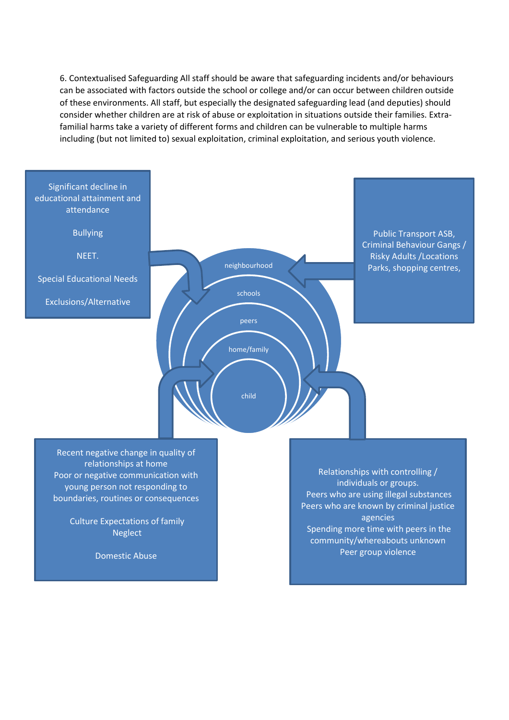6. Contextualised Safeguarding All staff should be aware that safeguarding incidents and/or behaviours can be associated with factors outside the school or college and/or can occur between children outside of these environments. All staff, but especially the designated safeguarding lead (and deputies) should consider whether children are at risk of abuse or exploitation in situations outside their families. Extrafamilial harms take a variety of different forms and children can be vulnerable to multiple harms including (but not limited to) sexual exploitation, criminal exploitation, and serious youth violence.

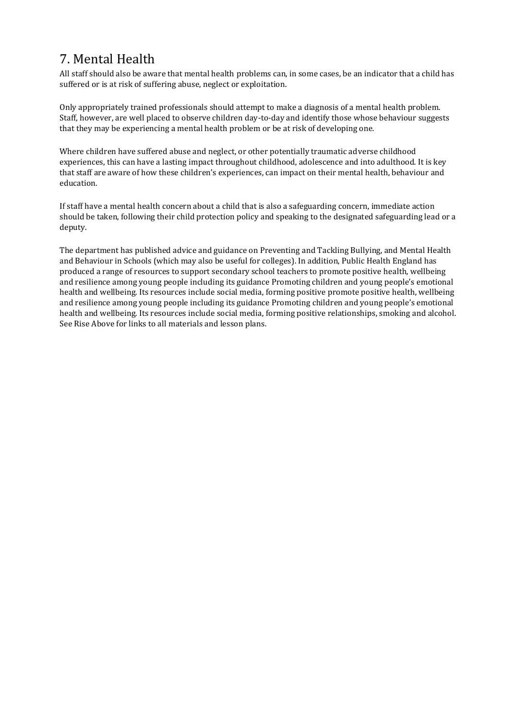# 7. Mental Health

All staff should also be aware that mental health problems can, in some cases, be an indicator that a child has suffered or is at risk of suffering abuse, neglect or exploitation.

Only appropriately trained professionals should attempt to make a diagnosis of a mental health problem. Staff, however, are well placed to observe children day-to-day and identify those whose behaviour suggests that they may be experiencing a mental health problem or be at risk of developing one.

Where children have suffered abuse and neglect, or other potentially traumatic adverse childhood experiences, this can have a lasting impact throughout childhood, adolescence and into adulthood. It is key that staff are aware of how these children's experiences, can impact on their mental health, behaviour and education.

If staff have a mental health concern about a child that is also a safeguarding concern, immediate action should be taken, following their child protection policy and speaking to the designated safeguarding lead or a deputy.

The department has published advice and guidance on Preventing and Tackling Bullying, and Mental Health and Behaviour in Schools (which may also be useful for colleges). In addition, Public Health England has produced a range of resources to support secondary school teachers to promote positive health, wellbeing and resilience among young people including its guidance Promoting children and young people's emotional health and wellbeing. Its resources include social media, forming positive promote positive health, wellbeing and resilience among young people including its guidance Promoting children and young people's emotional health and wellbeing. Its resources include social media, forming positive relationships, smoking and alcohol. See Rise Above for links to all materials and lesson plans.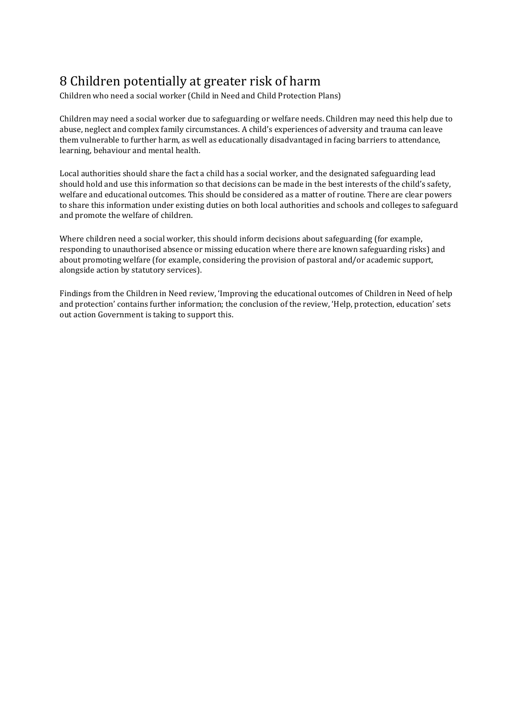# 8 Children potentially at greater risk of harm

Children who need a social worker (Child in Need and Child Protection Plans)

Children may need a social worker due to safeguarding or welfare needs. Children may need this help due to abuse, neglect and complex family circumstances. A child's experiences of adversity and trauma can leave them vulnerable to further harm, as well as educationally disadvantaged in facing barriers to attendance, learning, behaviour and mental health.

Local authorities should share the fact a child has a social worker, and the designated safeguarding lead should hold and use this information so that decisions can be made in the best interests of the child's safety, welfare and educational outcomes. This should be considered as a matter of routine. There are clear powers to share this information under existing duties on both local authorities and schools and colleges to safeguard and promote the welfare of children.

Where children need a social worker, this should inform decisions about safeguarding (for example, responding to unauthorised absence or missing education where there are known safeguarding risks) and about promoting welfare (for example, considering the provision of pastoral and/or academic support, alongside action by statutory services).

Findings from the Children in Need review, 'Improving the educational outcomes of Children in Need of help and protection' contains further information; the conclusion of the review, 'Help, protection, education' sets out action Government is taking to support this.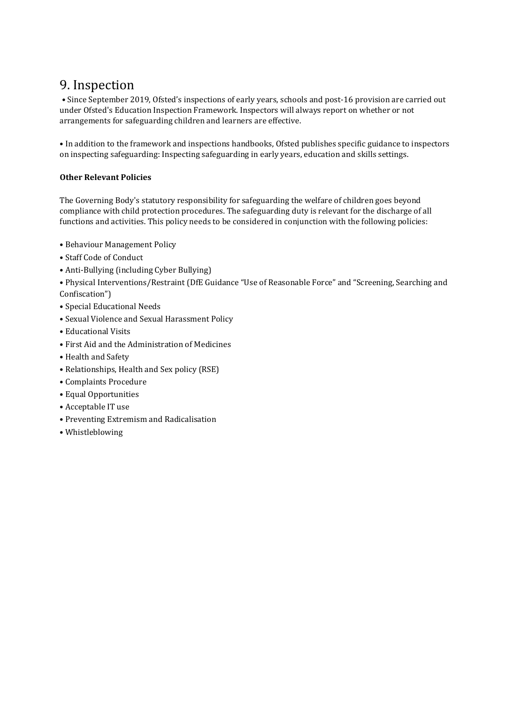# 9. Inspection

• Since September 2019, Ofsted's inspections of early years, schools and post-16 provision are carried out under Ofsted's Education Inspection Framework. Inspectors will always report on whether or not arrangements for safeguarding children and learners are effective.

• In addition to the framework and inspections handbooks, Ofsted publishes specific guidance to inspectors on inspecting safeguarding: Inspecting safeguarding in early years, education and skills settings.

#### **Other Relevant Policies**

The Governing Body's statutory responsibility for safeguarding the welfare of children goes beyond compliance with child protection procedures. The safeguarding duty is relevant for the discharge of all functions and activities. This policy needs to be considered in conjunction with the following policies:

- Behaviour Management Policy
- Staff Code of Conduct
- Anti-Bullying (including Cyber Bullying)

• Physical Interventions/Restraint (DfE Guidance "Use of Reasonable Force" and "Screening, Searching and Confiscation")

- Special Educational Needs
- Sexual Violence and Sexual Harassment Policy
- Educational Visits
- First Aid and the Administration of Medicines
- Health and Safety
- Relationships, Health and Sex policy (RSE)
- Complaints Procedure
- Equal Opportunities
- Acceptable IT use
- Preventing Extremism and Radicalisation
- Whistleblowing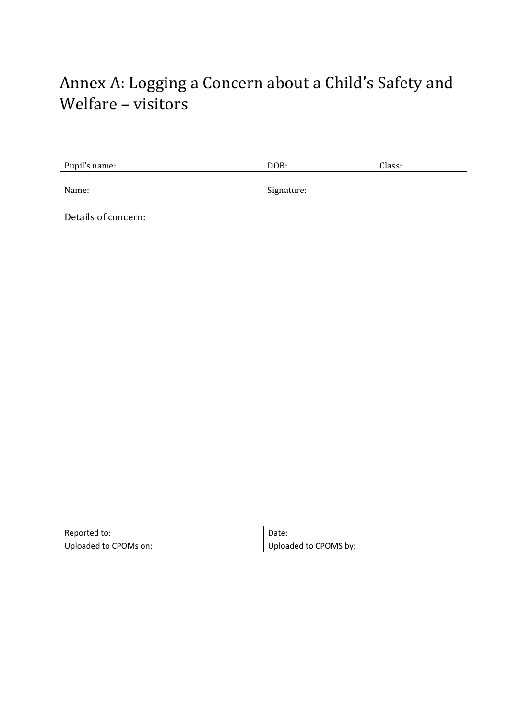# Annex A: Logging a Concern about a Child's Safety and Welfare – visitors

| Pupil's name:         | DOB:                  | Class: |
|-----------------------|-----------------------|--------|
| Name:                 | Signature:            |        |
| Details of concern:   |                       |        |
|                       |                       |        |
|                       |                       |        |
|                       |                       |        |
|                       |                       |        |
|                       |                       |        |
|                       |                       |        |
|                       |                       |        |
|                       |                       |        |
|                       |                       |        |
|                       |                       |        |
|                       |                       |        |
|                       |                       |        |
|                       |                       |        |
|                       |                       |        |
|                       |                       |        |
|                       |                       |        |
|                       |                       |        |
|                       |                       |        |
|                       |                       |        |
| Reported to:          | Date:                 |        |
| Uploaded to CPOMs on: | Uploaded to CPOMS by: |        |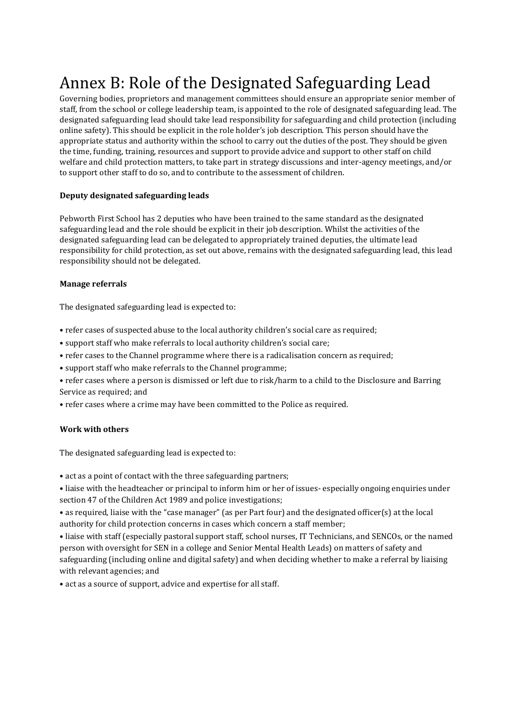# Annex B: Role of the Designated Safeguarding Lead

Governing bodies, proprietors and management committees should ensure an appropriate senior member of staff, from the school or college leadership team, is appointed to the role of designated safeguarding lead. The designated safeguarding lead should take lead responsibility for safeguarding and child protection (including online safety). This should be explicit in the role holder's job description. This person should have the appropriate status and authority within the school to carry out the duties of the post. They should be given the time, funding, training, resources and support to provide advice and support to other staff on child welfare and child protection matters, to take part in strategy discussions and inter-agency meetings, and/or to support other staff to do so, and to contribute to the assessment of children.

#### **Deputy designated safeguarding leads**

Pebworth First School has 2 deputies who have been trained to the same standard as the designated safeguarding lead and the role should be explicit in their job description. Whilst the activities of the designated safeguarding lead can be delegated to appropriately trained deputies, the ultimate lead responsibility for child protection, as set out above, remains with the designated safeguarding lead, this lead responsibility should not be delegated.

#### **Manage referrals**

The designated safeguarding lead is expected to:

- refer cases of suspected abuse to the local authority children's social care as required;
- support staff who make referrals to local authority children's social care;
- refer cases to the Channel programme where there is a radicalisation concern as required;
- support staff who make referrals to the Channel programme;
- refer cases where a person is dismissed or left due to risk/harm to a child to the Disclosure and Barring Service as required; and
- refer cases where a crime may have been committed to the Police as required.

#### **Work with others**

The designated safeguarding lead is expected to:

• act as a point of contact with the three safeguarding partners;

• liaise with the headteacher or principal to inform him or her of issues- especially ongoing enquiries under section 47 of the Children Act 1989 and police investigations;

• as required, liaise with the "case manager" (as per Part four) and the designated officer(s) at the local authority for child protection concerns in cases which concern a staff member;

• liaise with staff (especially pastoral support staff, school nurses, IT Technicians, and SENCOs, or the named person with oversight for SEN in a college and Senior Mental Health Leads) on matters of safety and safeguarding (including online and digital safety) and when deciding whether to make a referral by liaising with relevant agencies; and

• act as a source of support, advice and expertise for all staff.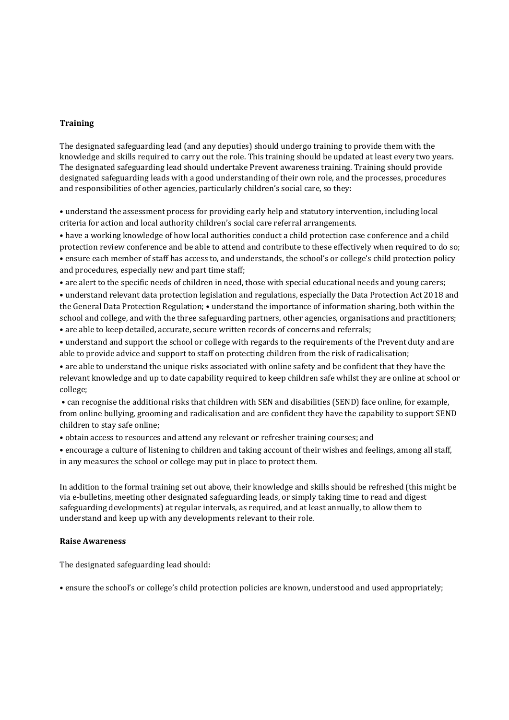#### **Training**

The designated safeguarding lead (and any deputies) should undergo training to provide them with the knowledge and skills required to carry out the role. This training should be updated at least every two years. The designated safeguarding lead should undertake Prevent awareness training. Training should provide designated safeguarding leads with a good understanding of their own role, and the processes, procedures and responsibilities of other agencies, particularly children's social care, so they:

• understand the assessment process for providing early help and statutory intervention, including local criteria for action and local authority children's social care referral arrangements.

• have a working knowledge of how local authorities conduct a child protection case conference and a child protection review conference and be able to attend and contribute to these effectively when required to do so; • ensure each member of staff has access to, and understands, the school's or college's child protection policy and procedures, especially new and part time staff;

• are alert to the specific needs of children in need, those with special educational needs and young carers;

• understand relevant data protection legislation and regulations, especially the Data Protection Act 2018 and the General Data Protection Regulation; • understand the importance of information sharing, both within the school and college, and with the three safeguarding partners, other agencies, organisations and practitioners; • are able to keep detailed, accurate, secure written records of concerns and referrals;

• understand and support the school or college with regards to the requirements of the Prevent duty and are able to provide advice and support to staff on protecting children from the risk of radicalisation;

• are able to understand the unique risks associated with online safety and be confident that they have the relevant knowledge and up to date capability required to keep children safe whilst they are online at school or college;

• can recognise the additional risks that children with SEN and disabilities (SEND) face online, for example, from online bullying, grooming and radicalisation and are confident they have the capability to support SEND children to stay safe online;

• obtain access to resources and attend any relevant or refresher training courses; and

• encourage a culture of listening to children and taking account of their wishes and feelings, among all staff, in any measures the school or college may put in place to protect them.

In addition to the formal training set out above, their knowledge and skills should be refreshed (this might be via e-bulletins, meeting other designated safeguarding leads, or simply taking time to read and digest safeguarding developments) at regular intervals, as required, and at least annually, to allow them to understand and keep up with any developments relevant to their role.

#### **Raise Awareness**

The designated safeguarding lead should:

• ensure the school's or college's child protection policies are known, understood and used appropriately;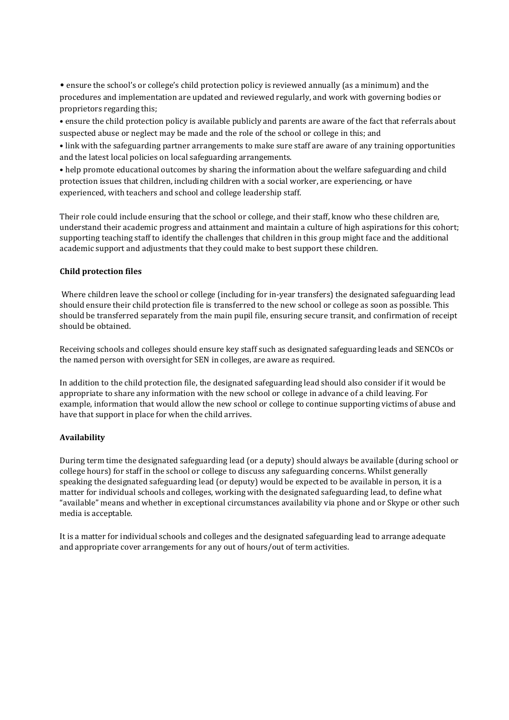• ensure the school's or college's child protection policy is reviewed annually (as a minimum) and the procedures and implementation are updated and reviewed regularly, and work with governing bodies or proprietors regarding this;

• ensure the child protection policy is available publicly and parents are aware of the fact that referrals about suspected abuse or neglect may be made and the role of the school or college in this; and

• link with the safeguarding partner arrangements to make sure staff are aware of any training opportunities and the latest local policies on local safeguarding arrangements.

• help promote educational outcomes by sharing the information about the welfare safeguarding and child protection issues that children, including children with a social worker, are experiencing, or have experienced, with teachers and school and college leadership staff.

Their role could include ensuring that the school or college, and their staff, know who these children are, understand their academic progress and attainment and maintain a culture of high aspirations for this cohort; supporting teaching staff to identify the challenges that children in this group might face and the additional academic support and adjustments that they could make to best support these children.

#### **Child protection files**

Where children leave the school or college (including for in-year transfers) the designated safeguarding lead should ensure their child protection file is transferred to the new school or college as soon as possible. This should be transferred separately from the main pupil file, ensuring secure transit, and confirmation of receipt should be obtained.

Receiving schools and colleges should ensure key staff such as designated safeguarding leads and SENCOs or the named person with oversight for SEN in colleges, are aware as required.

In addition to the child protection file, the designated safeguarding lead should also consider if it would be appropriate to share any information with the new school or college in advance of a child leaving. For example, information that would allow the new school or college to continue supporting victims of abuse and have that support in place for when the child arrives.

#### **Availability**

During term time the designated safeguarding lead (or a deputy) should always be available (during school or college hours) for staff in the school or college to discuss any safeguarding concerns. Whilst generally speaking the designated safeguarding lead (or deputy) would be expected to be available in person, it is a matter for individual schools and colleges, working with the designated safeguarding lead, to define what "available" means and whether in exceptional circumstances availability via phone and or Skype or other such media is acceptable.

It is a matter for individual schools and colleges and the designated safeguarding lead to arrange adequate and appropriate cover arrangements for any out of hours/out of term activities.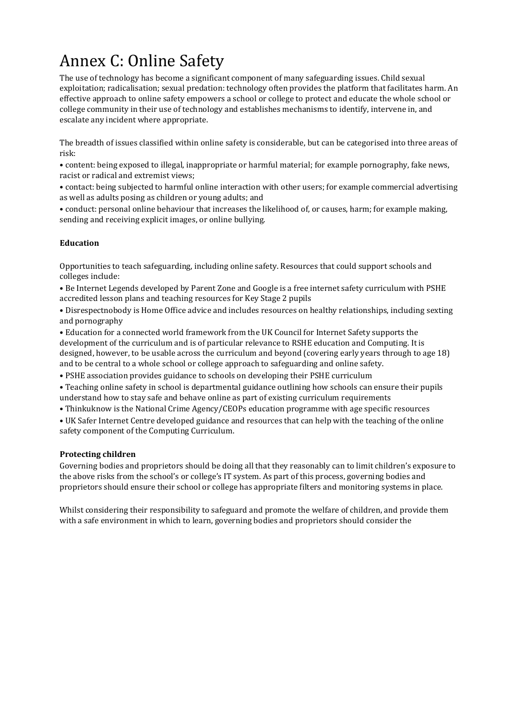# Annex C: Online Safety

The use of technology has become a significant component of many safeguarding issues. Child sexual exploitation; radicalisation; sexual predation: technology often provides the platform that facilitates harm. An effective approach to online safety empowers a school or college to protect and educate the whole school or college community in their use of technology and establishes mechanisms to identify, intervene in, and escalate any incident where appropriate.

The breadth of issues classified within online safety is considerable, but can be categorised into three areas of risk:

• content: being exposed to illegal, inappropriate or harmful material; for example pornography, fake news, racist or radical and extremist views;

• contact: being subjected to harmful online interaction with other users; for example commercial advertising as well as adults posing as children or young adults; and

• conduct: personal online behaviour that increases the likelihood of, or causes, harm; for example making, sending and receiving explicit images, or online bullying.

#### **Education**

Opportunities to teach safeguarding, including online safety. Resources that could support schools and colleges include:

• Be Internet Legends developed by Parent Zone and Google is a free internet safety curriculum with PSHE accredited lesson plans and teaching resources for Key Stage 2 pupils

• Disrespectnobody is Home Office advice and includes resources on healthy relationships, including sexting and pornography

• Education for a connected world framework from the UK Council for Internet Safety supports the development of the curriculum and is of particular relevance to RSHE education and Computing. It is designed, however, to be usable across the curriculum and beyond (covering early years through to age 18) and to be central to a whole school or college approach to safeguarding and online safety.

• PSHE association provides guidance to schools on developing their PSHE curriculum

• Teaching online safety in school is departmental guidance outlining how schools can ensure their pupils understand how to stay safe and behave online as part of existing curriculum requirements

- Thinkuknow is the National Crime Agency/CEOPs education programme with age specific resources
- UK Safer Internet Centre developed guidance and resources that can help with the teaching of the online safety component of the Computing Curriculum.

#### **Protecting children**

Governing bodies and proprietors should be doing all that they reasonably can to limit children's exposure to the above risks from the school's or college's IT system. As part of this process, governing bodies and proprietors should ensure their school or college has appropriate filters and monitoring systems in place.

Whilst considering their responsibility to safeguard and promote the welfare of children, and provide them with a safe environment in which to learn, governing bodies and proprietors should consider the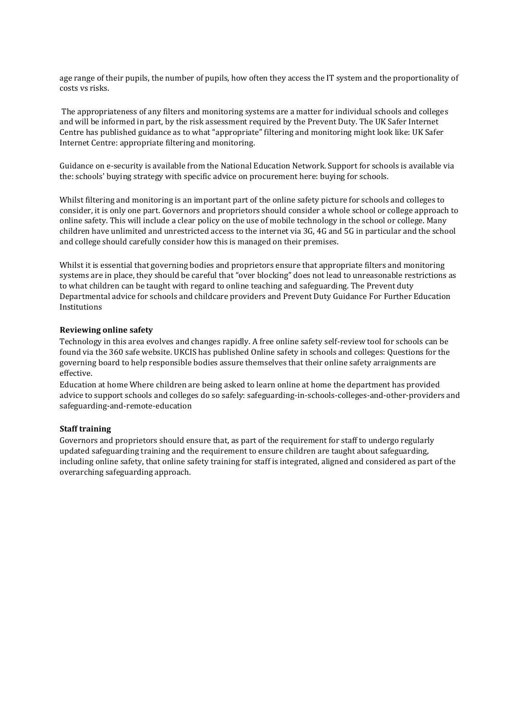age range of their pupils, the number of pupils, how often they access the IT system and the proportionality of costs vs risks.

The appropriateness of any filters and monitoring systems are a matter for individual schools and colleges and will be informed in part, by the risk assessment required by the Prevent Duty. The UK Safer Internet Centre has published guidance as to what "appropriate" filtering and monitoring might look like: UK Safer Internet Centre: appropriate filtering and monitoring.

Guidance on e-security is available from the National Education Network. Support for schools is available via the: schools' buying strategy with specific advice on procurement here: buying for schools.

Whilst filtering and monitoring is an important part of the online safety picture for schools and colleges to consider, it is only one part. Governors and proprietors should consider a whole school or college approach to online safety. This will include a clear policy on the use of mobile technology in the school or college. Many children have unlimited and unrestricted access to the internet via 3G, 4G and 5G in particular and the school and college should carefully consider how this is managed on their premises.

Whilst it is essential that governing bodies and proprietors ensure that appropriate filters and monitoring systems are in place, they should be careful that "over blocking" does not lead to unreasonable restrictions as to what children can be taught with regard to online teaching and safeguarding. The Prevent duty Departmental advice for schools and childcare providers and Prevent Duty Guidance For Further Education Institutions

#### **Reviewing online safety**

Technology in this area evolves and changes rapidly. A free online safety self-review tool for schools can be found via the 360 safe website. UKCIS has published Online safety in schools and colleges: Questions for the governing board to help responsible bodies assure themselves that their online safety arraignments are effective.

Education at home Where children are being asked to learn online at home the department has provided advice to support schools and colleges do so safely: safeguarding-in-schools-colleges-and-other-providers and safeguarding-and-remote-education

#### **Staff training**

Governors and proprietors should ensure that, as part of the requirement for staff to undergo regularly updated safeguarding training and the requirement to ensure children are taught about safeguarding, including online safety, that online safety training for staff is integrated, aligned and considered as part of the overarching safeguarding approach.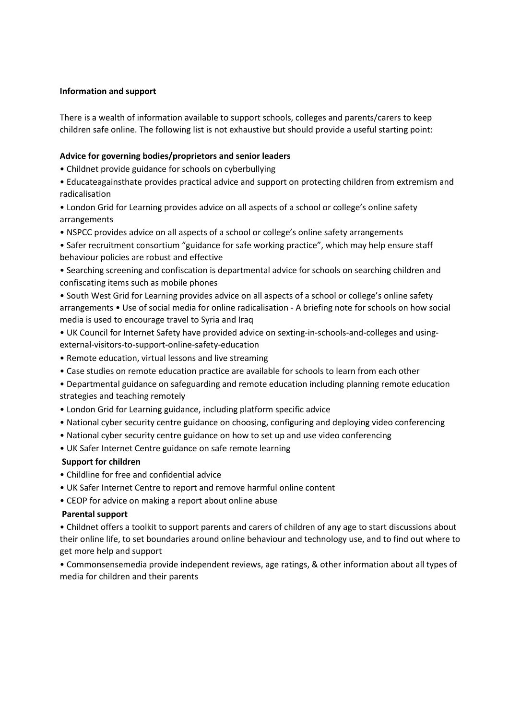#### **Information and support**

There is a wealth of information available to support schools, colleges and parents/carers to keep children safe online. The following list is not exhaustive but should provide a useful starting point:

#### **Advice for governing bodies/proprietors and senior leaders**

• Childnet provide guidance for schools on cyberbullying

• Educateagainsthate provides practical advice and support on protecting children from extremism and radicalisation

• London Grid for Learning provides advice on all aspects of a school or college's online safety arrangements

• NSPCC provides advice on all aspects of a school or college's online safety arrangements

• Safer recruitment consortium "guidance for safe working practice", which may help ensure staff behaviour policies are robust and effective

• Searching screening and confiscation is departmental advice for schools on searching children and confiscating items such as mobile phones

• South West Grid for Learning provides advice on all aspects of a school or college's online safety arrangements • Use of social media for online radicalisation - A briefing note for schools on how social media is used to encourage travel to Syria and Iraq

- UK Council for Internet Safety have provided advice on sexting-in-schools-and-colleges and usingexternal-visitors-to-support-online-safety-education
- Remote education, virtual lessons and live streaming
- Case studies on remote education practice are available for schools to learn from each other
- Departmental guidance on safeguarding and remote education including planning remote education strategies and teaching remotely
- London Grid for Learning guidance, including platform specific advice
- National cyber security centre guidance on choosing, configuring and deploying video conferencing
- National cyber security centre guidance on how to set up and use video conferencing
- UK Safer Internet Centre guidance on safe remote learning

#### **Support for children**

- Childline for free and confidential advice
- UK Safer Internet Centre to report and remove harmful online content
- CEOP for advice on making a report about online abuse

#### **Parental support**

• Childnet offers a toolkit to support parents and carers of children of any age to start discussions about their online life, to set boundaries around online behaviour and technology use, and to find out where to get more help and support

• Commonsensemedia provide independent reviews, age ratings, & other information about all types of media for children and their parents